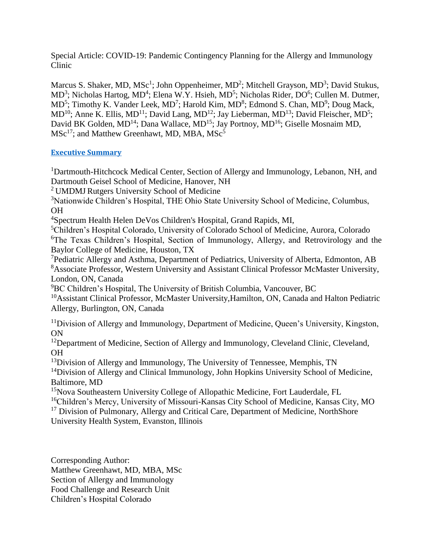Special Article: COVID-19: Pandemic Contingency Planning for the Allergy and Immunology Clinic

Marcus S. Shaker, MD, MSc<sup>1</sup>; John Oppenheimer, MD<sup>2</sup>; Mitchell Grayson, MD<sup>3</sup>; David Stukus, MD<sup>3</sup>; Nicholas Hartog, MD<sup>4</sup>; Elena W.Y. Hsieh, MD<sup>5</sup>; Nicholas Rider, DO<sup>6</sup>; Cullen M. Dutmer, MD<sup>5</sup>; Timothy K. Vander Leek, MD<sup>7</sup>; Harold Kim, MD<sup>8</sup>; Edmond S. Chan, MD<sup>9</sup>; Doug Mack,  $MD<sup>10</sup>$ ; Anne K. Ellis, MD<sup>11</sup>; David Lang, MD<sup>12</sup>; Jay Lieberman, MD<sup>13</sup>; David Fleischer, MD<sup>5</sup>; David BK Golden, MD<sup>14</sup>; Dana Wallace, MD<sup>15</sup>; Jay Portnoy, MD<sup>16</sup>; Giselle Mosnaim MD,  $MSc<sup>17</sup>$ ; and Matthew Greenhawt, MD, MBA,  $MSc<sup>5</sup>$ 

## **[Executive Summary](#page-6-0)**

<sup>1</sup>Dartmouth-Hitchcock Medical Center, Section of Allergy and Immunology, Lebanon, NH, and Dartmouth Geisel School of Medicine, Hanover, NH

<sup>2</sup> UMDMJ Rutgers University School of Medicine

<sup>3</sup>Nationwide Children's Hospital, THE Ohio State University School of Medicine, Columbus, OH

<sup>4</sup>Spectrum Health Helen DeVos Children's Hospital, Grand Rapids, MI,

<sup>5</sup>Children's Hospital Colorado, University of Colorado School of Medicine, Aurora, Colorado <sup>6</sup>The Texas Children's Hospital, Section of Immunology, Allergy, and Retrovirology and the Baylor College of Medicine, Houston, TX

<sup>7</sup>Pediatric Allergy and Asthma, Department of Pediatrics, University of Alberta, Edmonton, AB <sup>8</sup>Associate Professor, Western University and Assistant Clinical Professor McMaster University, London, ON, Canada

<sup>9</sup>BC Children's Hospital, The University of British Columbia, Vancouver, BC

<sup>10</sup>Assistant Clinical Professor, McMaster University, Hamilton, ON, Canada and Halton Pediatric Allergy, Burlington, ON, Canada

<sup>11</sup>Division of Allergy and Immunology, Department of Medicine, Queen's University, Kingston, ON

<sup>12</sup>Department of Medicine, Section of Allergy and Immunology, Cleveland Clinic, Cleveland, OH

 $13$ Division of Allergy and Immunology, The University of Tennessee, Memphis, TN

<sup>14</sup>Division of Allergy and Clinical Immunology, John Hopkins University School of Medicine, Baltimore, MD

<sup>15</sup>Nova Southeastern University College of Allopathic Medicine, Fort Lauderdale, FL

<sup>16</sup>Children's Mercy, University of Missouri-Kansas City School of Medicine, Kansas City, MO

<sup>17</sup> Division of Pulmonary, Allergy and Critical Care, Department of Medicine, NorthShore University Health System, Evanston, Illinois

Corresponding Author: Matthew Greenhawt, MD, MBA, MSc Section of Allergy and Immunology Food Challenge and Research Unit Children's Hospital Colorado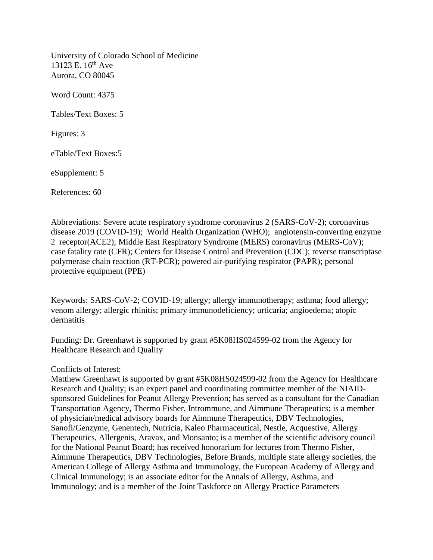University of Colorado School of Medicine 13123 E.  $16^{th}$  Ave Aurora, CO 80045

Word Count: 4375

Tables/Text Boxes: 5

Figures: 3

eTable/Text Boxes:5

eSupplement: 5

References: 60

Abbreviations: Severe acute respiratory syndrome coronavirus 2 (SARS-CoV-2); coronavirus disease 2019 (COVID-19); World Health Organization (WHO); angiotensin-converting enzyme 2 receptor(ACE2); Middle East Respiratory Syndrome (MERS) coronavirus (MERS-CoV); case fatality rate (CFR); Centers for Disease Control and Prevention (CDC); reverse transcriptase polymerase chain reaction (RT-PCR); powered air-purifying respirator (PAPR); personal protective equipment (PPE)

Keywords: SARS-CoV-2; COVID-19; allergy; allergy immunotherapy; asthma; food allergy; venom allergy; allergic rhinitis; primary immunodeficiency; urticaria; angioedema; atopic dermatitis

Funding: Dr. Greenhawt is supported by grant #5K08HS024599-02 from the Agency for Healthcare Research and Quality

#### Conflicts of Interest:

Matthew Greenhawt is supported by grant #5K08HS024599-02 from the Agency for Healthcare Research and Quality; is an expert panel and coordinating committee member of the NIAIDsponsored Guidelines for Peanut Allergy Prevention; has served as a consultant for the Canadian Transportation Agency, Thermo Fisher, Intrommune, and Aimmune Therapeutics; is a member of physician/medical advisory boards for Aimmune Therapeutics, DBV Technologies, Sanofi/Genzyme, Genentech, Nutricia, Kaleo Pharmaceutical, Nestle, Acquestive, Allergy Therapeutics, Allergenis, Aravax, and Monsanto; is a member of the scientific advisory council for the National Peanut Board; has received honorarium for lectures from Thermo Fisher, Aimmune Therapeutics, DBV Technologies, Before Brands, multiple state allergy societies, the American College of Allergy Asthma and Immunology, the European Academy of Allergy and Clinical Immunology; is an associate editor for the Annals of Allergy, Asthma, and Immunology; and is a member of the Joint Taskforce on Allergy Practice Parameters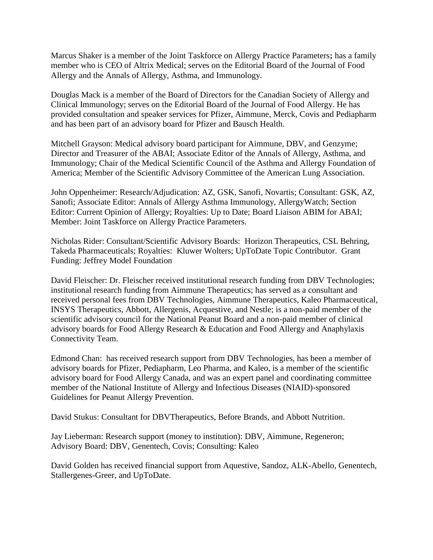Marcus Shaker is a member of the Joint Taskforce on Allergy Practice Parameters**;** has a family member who is CEO of Altrix Medical; serves on the Editorial Board of the Journal of Food Allergy and the Annals of Allergy, Asthma, and Immunology.

Douglas Mack is a member of the Board of Directors for the Canadian Society of Allergy and Clinical Immunology; serves on the Editorial Board of the Journal of Food Allergy. He has provided consultation and speaker services for Pfizer, Aimmune, Merck, Covis and Pediapharm and has been part of an advisory board for Pfizer and Bausch Health.

Mitchell Grayson: Medical advisory board participant for Aimmune, DBV, and Genzyme; Director and Treasurer of the ABAI; Associate Editor of the Annals of Allergy, Asthma, and Immunology; Chair of the Medical Scientific Council of the Asthma and Allergy Foundation of America; Member of the Scientific Advisory Committee of the American Lung Association.

John Oppenheimer: Research/Adjudication: AZ, GSK, Sanofi, Novartis; Consultant: GSK, AZ, Sanofi; Associate Editor: Annals of Allergy Asthma Immunology, AllergyWatch; Section Editor: Current Opinion of Allergy; Royalties: Up to Date; Board Liaison ABIM for ABAI; Member: Joint Taskforce on Allergy Practice Parameters.

Nicholas Rider: Consultant/Scientific Advisory Boards: Horizon Therapeutics, CSL Behring, Takeda Pharmaceuticals; Royalties: Kluwer Wolters; UpToDate Topic Contributor. Grant Funding: Jeffrey Model Foundation

David Fleischer: Dr. Fleischer received institutional research funding from DBV Technologies; institutional research funding from Aimmune Therapeutics; has served as a consultant and received personal fees from DBV Technologies, Aimmune Therapeutics, Kaleo Pharmaceutical, INSYS Therapeutics, Abbott, Allergenis, Acquestive, and Nestle; is a non-paid member of the scientific advisory council for the National Peanut Board and a non-paid member of clinical advisory boards for Food Allergy Research & Education and Food Allergy and Anaphylaxis Connectivity Team.

Edmond Chan: has received research support from DBV Technologies, has been a member of advisory boards for Pfizer, Pediapharm, Leo Pharma, and Kaleo, is a member of the scientific advisory board for Food Allergy Canada, and was an expert panel and coordinating committee member of the National Institute of Allergy and Infectious Diseases (NIAID)-sponsored Guidelines for Peanut Allergy Prevention.

David Stukus: Consultant for DBVTherapeutics, Before Brands, and Abbott Nutrition.

Jay Lieberman: Research support (money to institution): DBV, Aimmune, Regeneron; Advisory Board: DBV, Genentech, Covis; Consulting: Kaleo

David Golden has received financial support from Aquestive, Sandoz, ALK-Abello, Genentech, Stallergenes-Greer, and UpToDate.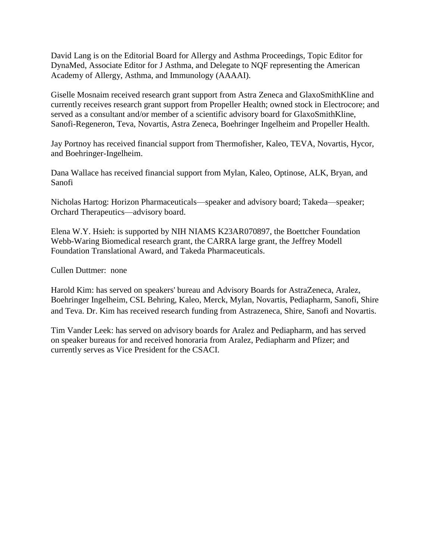David Lang is on the Editorial Board for Allergy and Asthma Proceedings, Topic Editor for DynaMed, Associate Editor for J Asthma, and Delegate to NQF representing the American Academy of Allergy, Asthma, and Immunology (AAAAI).

Giselle Mosnaim received research grant support from Astra Zeneca and GlaxoSmithKline and currently receives research grant support from Propeller Health; owned stock in Electrocore; and served as a consultant and/or member of a scientific advisory board for GlaxoSmithKline, Sanofi-Regeneron, Teva, Novartis, Astra Zeneca, Boehringer Ingelheim and Propeller Health.

Jay Portnoy has received financial support from Thermofisher, Kaleo, TEVA, Novartis, Hycor, and Boehringer-Ingelheim.

Dana Wallace has received financial support from Mylan, Kaleo, Optinose, ALK, Bryan, and Sanofi

Nicholas Hartog: Horizon Pharmaceuticals—speaker and advisory board; Takeda—speaker; Orchard Therapeutics—advisory board.

Elena W.Y. Hsieh: is supported by NIH NIAMS K23AR070897, the Boettcher Foundation Webb-Waring Biomedical research grant, the CARRA large grant, the Jeffrey Modell Foundation Translational Award, and Takeda Pharmaceuticals.

Cullen Duttmer: none

Harold Kim: has served on speakers' bureau and Advisory Boards for AstraZeneca, Aralez, Boehringer Ingelheim, CSL Behring, Kaleo, Merck, Mylan, Novartis, Pediapharm, Sanofi, Shire and Teva. Dr. Kim has received research funding from Astrazeneca, Shire, Sanofi and Novartis.

Tim Vander Leek: has served on advisory boards for Aralez and Pediapharm, and has served on speaker bureaus for and received honoraria from Aralez, Pediapharm and Pfizer; and currently serves as Vice President for the CSACI.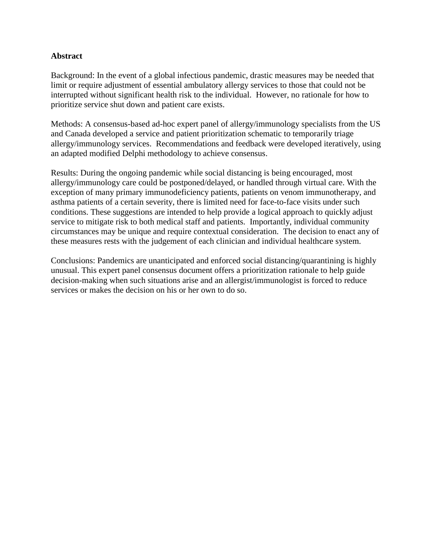## **Abstract**

Background: In the event of a global infectious pandemic, drastic measures may be needed that limit or require adjustment of essential ambulatory allergy services to those that could not be interrupted without significant health risk to the individual. However, no rationale for how to prioritize service shut down and patient care exists.

Methods: A consensus-based ad-hoc expert panel of allergy/immunology specialists from the US and Canada developed a service and patient prioritization schematic to temporarily triage allergy/immunology services. Recommendations and feedback were developed iteratively, using an adapted modified Delphi methodology to achieve consensus.

Results: During the ongoing pandemic while social distancing is being encouraged, most allergy/immunology care could be postponed/delayed, or handled through virtual care. With the exception of many primary immunodeficiency patients, patients on venom immunotherapy, and asthma patients of a certain severity, there is limited need for face-to-face visits under such conditions. These suggestions are intended to help provide a logical approach to quickly adjust service to mitigate risk to both medical staff and patients. Importantly, individual community circumstances may be unique and require contextual consideration. The decision to enact any of these measures rests with the judgement of each clinician and individual healthcare system.

Conclusions: Pandemics are unanticipated and enforced social distancing/quarantining is highly unusual. This expert panel consensus document offers a prioritization rationale to help guide decision-making when such situations arise and an allergist/immunologist is forced to reduce services or makes the decision on his or her own to do so.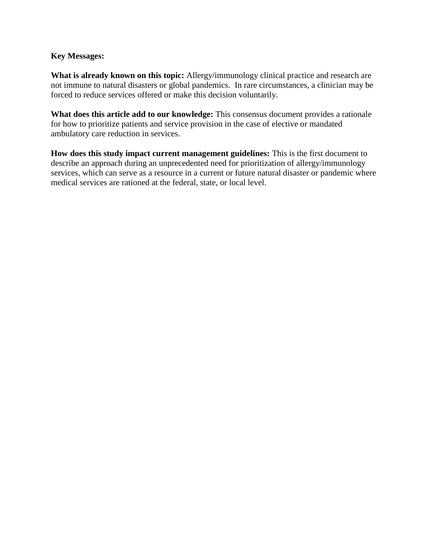## **Key Messages:**

**What is already known on this topic:** Allergy/immunology clinical practice and research are not immune to natural disasters or global pandemics. In rare circumstances, a clinician may be forced to reduce services offered or make this decision voluntarily.

**What does this article add to our knowledge:** This consensus document provides a rationale for how to prioritize patients and service provision in the case of elective or mandated ambulatory care reduction in services.

**How does this study impact current management guidelines:** This is the first document to describe an approach during an unprecedented need for prioritization of allergy/immunology services, which can serve as a resource in a current or future natural disaster or pandemic where medical services are rationed at the federal, state, or local level.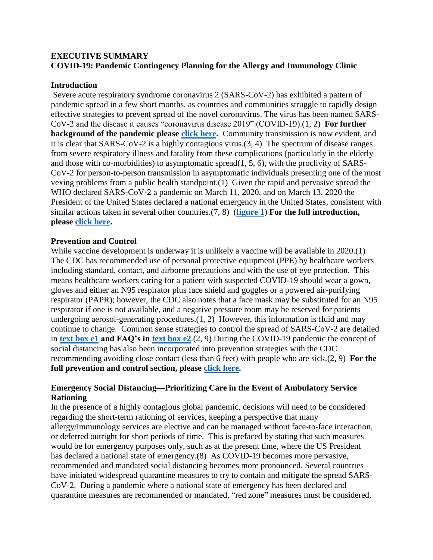# <span id="page-6-0"></span>**EXECUTIVE SUMMARY COVID-19: Pandemic Contingency Planning for the Allergy and Immunology Clinic**

### **Introduction**

Severe acute respiratory syndrome coronavirus 2 (SARS-CoV-2) has exhibited a pattern of pandemic spread in a few short months, as countries and communities struggle to rapidly design effective strategies to prevent spread of the novel coronavirus. The virus has been named SARS-CoV-2 and the disease it causes "coronavirus disease 2019" (COVID-19).(1, 2) **For further background of the pandemic please [click here.](#page-32-0)** Community transmission is now evident, and it is clear that SARS-CoV-2 is a highly contagious virus.(3, 4) The spectrum of disease ranges from severe respiratory illness and fatality from these complications (particularly in the elderly and those with co-morbidities) to asymptomatic spread(1, 5, 6), with the proclivity of SARS-CoV-2 for person-to-person transmission in asymptomatic individuals presenting one of the most vexing problems from a public health standpoint.(1) Given the rapid and pervasive spread the WHO declared SARS-CoV-2 a pandemic on March 11, 2020, and on March 13, 2020 the President of the United States declared a national emergency in the United States, consistent with similar actions taken in several other countries.(7, 8) (**[figure 1](#page-40-0)**) **For the full introduction, please [click here.](#page-9-0)**

# **Prevention and Control**

While vaccine development is underway it is unlikely a vaccine will be available in 2020.(1) The CDC has recommended use of personal protective equipment (PPE) by healthcare workers including standard, contact, and airborne precautions and with the use of eye protection. This means healthcare workers caring for a patient with suspected COVID-19 should wear a gown, gloves and either an N95 respirator plus face shield and goggles or a powered air-purifying respirator (PAPR); however, the CDC also notes that a face mask may be substituted for an N95 respirator if one is not available, and a negative pressure room may be reserved for patients undergoing aerosol-generating procedures.(1, 2) However, this information is fluid and may continue to change. Common sense strategies to control the spread of SARS-CoV-2 are detailed in **[text box e1](#page-29-0) and FAQ's in [text box e2](#page-30-0)**.(2, 9) During the COVID-19 pandemic the concept of social distancing has also been incorporated into prevention strategies with the CDC recommending avoiding close contact (less than 6 feet) with people who are sick.(2, 9) **For the full prevention and control section, please [click here.](#page-10-0)**

# **Emergency Social Distancing—Prioritizing Care in the Event of Ambulatory Service Rationing**

In the presence of a highly contagious global pandemic, decisions will need to be considered regarding the short-term rationing of services, keeping a perspective that many allergy/immunology services are elective and can be managed without face-to-face interaction, or deferred outright for short periods of time. This is prefaced by stating that such measures would be for emergency purposes only, such as at the present time, where the US President has declared a national state of emergency.(8) As COVID-19 becomes more pervasive, recommended and mandated social distancing becomes more pronounced. Several countries have initiated widespread quarantine measures to try to contain and mitigate the spread SARS-CoV-2. During a pandemic where a national state of emergency has been declared and quarantine measures are recommended or mandated, "red zone" measures must be considered.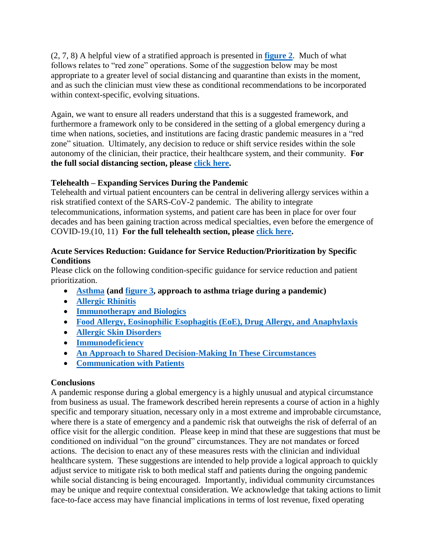(2, 7, 8) A helpful view of a stratified approach is presented in **[figure 2](#page-41-0)**. Much of what follows relates to "red zone" operations. Some of the suggestion below may be most appropriate to a greater level of social distancing and quarantine than exists in the moment, and as such the clinician must view these as conditional recommendations to be incorporated within context-specific, evolving situations.

Again, we want to ensure all readers understand that this is a suggested framework, and furthermore a framework only to be considered in the setting of a global emergency during a time when nations, societies, and institutions are facing drastic pandemic measures in a "red zone" situation. Ultimately, any decision to reduce or shift service resides within the sole autonomy of the clinician, their practice, their healthcare system, and their community. **For the full social distancing section, please [click here.](#page-10-1)**

# **Telehealth – Expanding Services During the Pandemic**

Telehealth and virtual patient encounters can be central in delivering allergy services within a risk stratified context of the SARS-CoV-2 pandemic. The ability to integrate telecommunications, information systems, and patient care has been in place for over four decades and has been gaining traction across medical specialties, even before the emergence of COVID-19.(10, 11) **For the full telehealth section, please [click here.](#page-11-0)**

# **Acute Services Reduction: Guidance for Service Reduction/Prioritization by Specific Conditions**

Please click on the following condition-specific guidance for service reduction and patient prioritization.

- **[Asthma](#page-12-0) (and [figure 3,](#page-42-0) approach to asthma triage during a pandemic)**
- **[Allergic Rhinitis](#page-14-0)**
- **[Immunotherapy and Biologics](#page-14-1)**
- **[Food Allergy, Eosinophilic Esophagitis \(EoE\), Drug Allergy, and Anaphylaxis](#page-15-0)**
- **[Allergic Skin Disorders](#page-15-1)**
- **[Immunodeficiency](#page-15-2)**
- **[An Approach to Shared Decision-Making](#page-16-0) In These Circumstances**
- **[Communication with Patients](#page-16-1)**

# **Conclusions**

A pandemic response during a global emergency is a highly unusual and atypical circumstance from business as usual. The framework described herein represents a course of action in a highly specific and temporary situation, necessary only in a most extreme and improbable circumstance, where there is a state of emergency and a pandemic risk that outweighs the risk of deferral of an office visit for the allergic condition. Please keep in mind that these are suggestions that must be conditioned on individual "on the ground" circumstances. They are not mandates or forced actions. The decision to enact any of these measures rests with the clinician and individual healthcare system. These suggestions are intended to help provide a logical approach to quickly adjust service to mitigate risk to both medical staff and patients during the ongoing pandemic while social distancing is being encouraged. Importantly, individual community circumstances may be unique and require contextual consideration. We acknowledge that taking actions to limit face-to-face access may have financial implications in terms of lost revenue, fixed operating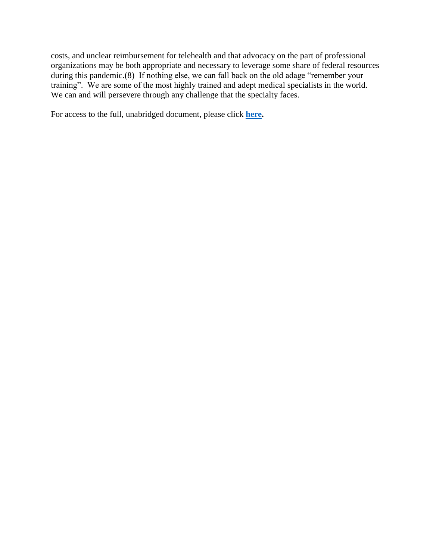costs, and unclear reimbursement for telehealth and that advocacy on the part of professional organizations may be both appropriate and necessary to leverage some share of federal resources during this pandemic.(8) If nothing else, we can fall back on the old adage "remember your training". We are some of the most highly trained and adept medical specialists in the world. We can and will persevere through any challenge that the specialty faces.

For access to the full, unabridged document, please click **here.**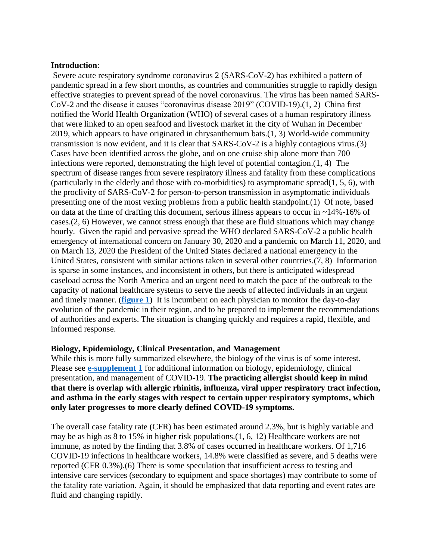#### <span id="page-9-0"></span>**Introduction**:

Severe acute respiratory syndrome coronavirus 2 (SARS-CoV-2) has exhibited a pattern of pandemic spread in a few short months, as countries and communities struggle to rapidly design effective strategies to prevent spread of the novel coronavirus. The virus has been named SARS-CoV-2 and the disease it causes "coronavirus disease 2019" (COVID-19).(1, 2) China first notified the World Health Organization (WHO) of several cases of a human respiratory illness that were linked to an open seafood and livestock market in the city of Wuhan in December 2019, which appears to have originated in chrysanthemum bats.(1, 3) World-wide community transmission is now evident, and it is clear that SARS-CoV-2 is a highly contagious virus.(3) Cases have been identified across the globe, and on one cruise ship alone more than 700 infections were reported, demonstrating the high level of potential contagion.(1, 4) The spectrum of disease ranges from severe respiratory illness and fatality from these complications (particularly in the elderly and those with co-morbidities) to asymptomatic spread(1, 5, 6), with the proclivity of SARS-CoV-2 for person-to-person transmission in asymptomatic individuals presenting one of the most vexing problems from a public health standpoint.(1) Of note, based on data at the time of drafting this document, serious illness appears to occur in ~14%-16% of cases.(2, 6) However, we cannot stress enough that these are fluid situations which may change hourly. Given the rapid and pervasive spread the WHO declared SARS-CoV-2 a public health emergency of international concern on January 30, 2020 and a pandemic on March 11, 2020, and on March 13, 2020 the President of the United States declared a national emergency in the United States, consistent with similar actions taken in several other countries.(7, 8) Information is sparse in some instances, and inconsistent in others, but there is anticipated widespread caseload across the North America and an urgent need to match the pace of the outbreak to the capacity of national healthcare systems to serve the needs of affected individuals in an urgent and timely manner. (**[figure 1](#page-40-0)**) It is incumbent on each physician to monitor the day-to-day evolution of the pandemic in their region, and to be prepared to implement the recommendations of authorities and experts. The situation is changing quickly and requires a rapid, flexible, and informed response.

#### **Biology, Epidemiology, Clinical Presentation, and Management**

While this is more fully summarized elsewhere, the biology of the virus is of some interest. Please see **[e-supplement 1](#page-32-0)** for additional information on biology, epidemiology, clinical presentation, and management of COVID-19. **The practicing allergist should keep in mind that there is overlap with allergic rhinitis, influenza, viral upper respiratory tract infection, and asthma in the early stages with respect to certain upper respiratory symptoms, which only later progresses to more clearly defined COVID-19 symptoms.**

The overall case fatality rate (CFR) has been estimated around 2.3%, but is highly variable and may be as high as 8 to 15% in higher risk populations.(1, 6, 12) Healthcare workers are not immune, as noted by the finding that 3.8% of cases occurred in healthcare workers. Of 1,716 COVID-19 infections in healthcare workers, 14.8% were classified as severe, and 5 deaths were reported (CFR 0.3%).(6) There is some speculation that insufficient access to testing and intensive care services (secondary to equipment and space shortages) may contribute to some of the fatality rate variation. Again, it should be emphasized that data reporting and event rates are fluid and changing rapidly.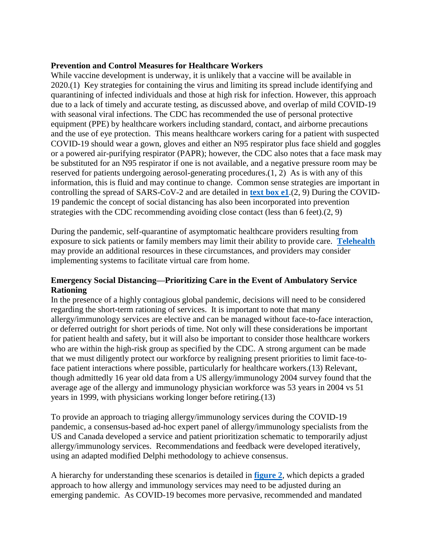### <span id="page-10-0"></span>**Prevention and Control Measures for Healthcare Workers**

While vaccine development is underway, it is unlikely that a vaccine will be available in 2020.(1) Key strategies for containing the virus and limiting its spread include identifying and quarantining of infected individuals and those at high risk for infection. However, this approach due to a lack of timely and accurate testing, as discussed above, and overlap of mild COVID-19 with seasonal viral infections. The CDC has recommended the use of personal protective equipment (PPE) by healthcare workers including standard, contact, and airborne precautions and the use of eye protection. This means healthcare workers caring for a patient with suspected COVID-19 should wear a gown, gloves and either an N95 respirator plus face shield and goggles or a powered air-purifying respirator (PAPR); however, the CDC also notes that a face mask may be substituted for an N95 respirator if one is not available, and a negative pressure room may be reserved for patients undergoing aerosol-generating procedures.(1, 2) As is with any of this information, this is fluid and may continue to change. Common sense strategies are important in controlling the spread of SARS-CoV-2 and are detailed in **[text box e1](#page-29-0)**.(2, 9) During the COVID-19 pandemic the concept of social distancing has also been incorporated into prevention strategies with the CDC recommending avoiding close contact (less than 6 feet).(2, 9)

During the pandemic, self-quarantine of asymptomatic healthcare providers resulting from exposure to sick patients or family members may limit their ability to provide care. **[Telehealth](#page-11-0)** may provide an additional resources in these circumstances, and providers may consider implementing systems to facilitate virtual care from home.

## <span id="page-10-1"></span>**Emergency Social Distancing—Prioritizing Care in the Event of Ambulatory Service Rationing**

In the presence of a highly contagious global pandemic, decisions will need to be considered regarding the short-term rationing of services. It is important to note that many allergy/immunology services are elective and can be managed without face-to-face interaction, or deferred outright for short periods of time. Not only will these considerations be important for patient health and safety, but it will also be important to consider those healthcare workers who are within the high-risk group as specified by the CDC. A strong argument can be made that we must diligently protect our workforce by realigning present priorities to limit face-toface patient interactions where possible, particularly for healthcare workers.(13) Relevant, though admittedly 16 year old data from a US allergy/immunology 2004 survey found that the average age of the allergy and immunology physician workforce was 53 years in 2004 vs 51 years in 1999, with physicians working longer before retiring.(13)

To provide an approach to triaging allergy/immunology services during the COVID-19 pandemic, a consensus-based ad-hoc expert panel of allergy/immunology specialists from the US and Canada developed a service and patient prioritization schematic to temporarily adjust allergy/immunology services. Recommendations and feedback were developed iteratively, using an adapted modified Delphi methodology to achieve consensus.

A hierarchy for understanding these scenarios is detailed in **[figure 2](#page-41-0)**, which depicts a graded approach to how allergy and immunology services may need to be adjusted during an emerging pandemic. As COVID-19 becomes more pervasive, recommended and mandated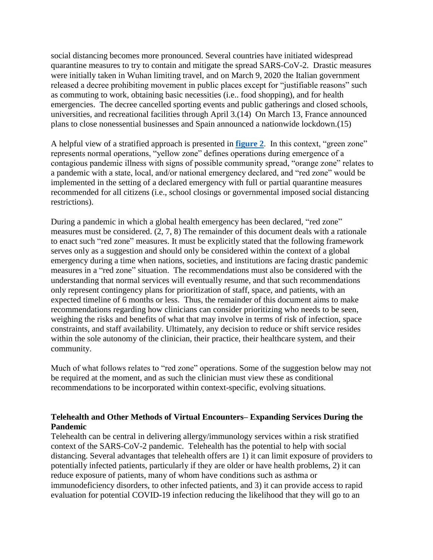social distancing becomes more pronounced. Several countries have initiated widespread quarantine measures to try to contain and mitigate the spread SARS-CoV-2. Drastic measures were initially taken in Wuhan limiting travel, and on March 9, 2020 the Italian government released a decree prohibiting movement in public places except for "justifiable reasons" such as commuting to work, obtaining basic necessities (i.e.. food shopping), and for health emergencies. The decree cancelled sporting events and public gatherings and closed schools, universities, and recreational facilities through April 3.(14) On March 13, France announced plans to close nonessential businesses and Spain announced a nationwide lockdown.(15)

A helpful view of a stratified approach is presented in **[figure 2](#page-41-0)**. In this context, "green zone" represents normal operations, "yellow zone" defines operations during emergence of a contagious pandemic illness with signs of possible community spread, "orange zone" relates to a pandemic with a state, local, and/or national emergency declared, and "red zone" would be implemented in the setting of a declared emergency with full or partial quarantine measures recommended for all citizens (i.e., school closings or governmental imposed social distancing restrictions).

During a pandemic in which a global health emergency has been declared, "red zone" measures must be considered. (2, 7, 8) The remainder of this document deals with a rationale to enact such "red zone" measures. It must be explicitly stated that the following framework serves only as a suggestion and should only be considered within the context of a global emergency during a time when nations, societies, and institutions are facing drastic pandemic measures in a "red zone" situation. The recommendations must also be considered with the understanding that normal services will eventually resume, and that such recommendations only represent contingency plans for prioritization of staff, space, and patients, with an expected timeline of 6 months or less. Thus, the remainder of this document aims to make recommendations regarding how clinicians can consider prioritizing who needs to be seen, weighing the risks and benefits of what that may involve in terms of risk of infection, space constraints, and staff availability. Ultimately, any decision to reduce or shift service resides within the sole autonomy of the clinician, their practice, their healthcare system, and their community.

Much of what follows relates to "red zone" operations. Some of the suggestion below may not be required at the moment, and as such the clinician must view these as conditional recommendations to be incorporated within context-specific, evolving situations.

## <span id="page-11-0"></span>**Telehealth and Other Methods of Virtual Encounters– Expanding Services During the Pandemic**

Telehealth can be central in delivering allergy/immunology services within a risk stratified context of the SARS-CoV-2 pandemic. Telehealth has the potential to help with social distancing. Several advantages that telehealth offers are 1) it can limit exposure of providers to potentially infected patients, particularly if they are older or have health problems, 2) it can reduce exposure of patients, many of whom have conditions such as asthma or immunodeficiency disorders, to other infected patients, and 3) it can provide access to rapid evaluation for potential COVID-19 infection reducing the likelihood that they will go to an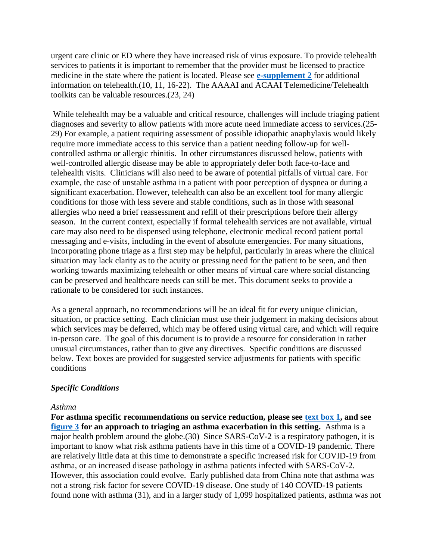urgent care clinic or ED where they have increased risk of virus exposure. To provide telehealth services to patients it is important to remember that the provider must be licensed to practice medicine in the state where the patient is located. Please see **[e-supplement 2](#page-34-0)** for additional information on telehealth.(10, 11, 16-22). The AAAAI and ACAAI Telemedicine/Telehealth toolkits can be valuable resources.(23, 24)

While telehealth may be a valuable and critical resource, challenges will include triaging patient diagnoses and severity to allow patients with more acute need immediate access to services.(25- 29) For example, a patient requiring assessment of possible idiopathic anaphylaxis would likely require more immediate access to this service than a patient needing follow-up for wellcontrolled asthma or allergic rhinitis. In other circumstances discussed below, patients with well-controlled allergic disease may be able to appropriately defer both face-to-face and telehealth visits. Clinicians will also need to be aware of potential pitfalls of virtual care. For example, the case of unstable asthma in a patient with poor perception of dyspnea or during a significant exacerbation. However, telehealth can also be an excellent tool for many allergic conditions for those with less severe and stable conditions, such as in those with seasonal allergies who need a brief reassessment and refill of their prescriptions before their allergy season. In the current context, especially if formal telehealth services are not available, virtual care may also need to be dispensed using telephone, electronic medical record patient portal messaging and e-visits, including in the event of absolute emergencies. For many situations, incorporating phone triage as a first step may be helpful, particularly in areas where the clinical situation may lack clarity as to the acuity or pressing need for the patient to be seen, and then working towards maximizing telehealth or other means of virtual care where social distancing can be preserved and healthcare needs can still be met. This document seeks to provide a rationale to be considered for such instances.

As a general approach, no recommendations will be an ideal fit for every unique clinician, situation, or practice setting. Each clinician must use their judgement in making decisions about which services may be deferred, which may be offered using virtual care, and which will require in-person care. The goal of this document is to provide a resource for consideration in rather unusual circumstances, rather than to give any directives. Specific conditions are discussed below. Text boxes are provided for suggested service adjustments for patients with specific conditions

### *Specific Conditions*

#### <span id="page-12-0"></span>*Asthma*

**For asthma specific recommendations on service reduction, please see [text box 1,](#page-22-0) and see [figure 3](#page-42-0) for an approach to triaging an asthma exacerbation in this setting.** Asthma is a major health problem around the globe.(30) Since SARS-CoV-2 is a respiratory pathogen, it is important to know what risk asthma patients have in this time of a COVID-19 pandemic. There are relatively little data at this time to demonstrate a specific increased risk for COVID-19 from asthma, or an increased disease pathology in asthma patients infected with SARS-CoV-2. However, this association could evolve. Early published data from China note that asthma was not a strong risk factor for severe COVID-19 disease. One study of 140 COVID-19 patients found none with asthma (31), and in a larger study of 1,099 hospitalized patients, asthma was not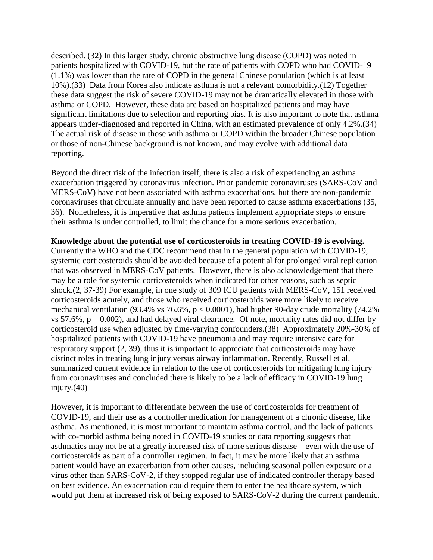described. (32) In this larger study, chronic obstructive lung disease (COPD) was noted in patients hospitalized with COVID-19, but the rate of patients with COPD who had COVID-19 (1.1%) was lower than the rate of COPD in the general Chinese population (which is at least 10%).(33) Data from Korea also indicate asthma is not a relevant comorbidity.(12) Together these data suggest the risk of severe COVID-19 may not be dramatically elevated in those with asthma or COPD. However, these data are based on hospitalized patients and may have significant limitations due to selection and reporting bias. It is also important to note that asthma appears under-diagnosed and reported in China, with an estimated prevalence of only 4.2%.(34) The actual risk of disease in those with asthma or COPD within the broader Chinese population or those of non-Chinese background is not known, and may evolve with additional data reporting.

Beyond the direct risk of the infection itself, there is also a risk of experiencing an asthma exacerbation triggered by coronavirus infection. Prior pandemic coronaviruses (SARS-CoV and MERS-CoV) have not been associated with asthma exacerbations, but there are non-pandemic coronaviruses that circulate annually and have been reported to cause asthma exacerbations (35, 36). Nonetheless, it is imperative that asthma patients implement appropriate steps to ensure their asthma is under controlled, to limit the chance for a more serious exacerbation.

**Knowledge about the potential use of corticosteroids in treating COVID-19 is evolving.** Currently the WHO and the CDC recommend that in the general population with COVID-19, systemic corticosteroids should be avoided because of a potential for prolonged viral replication that was observed in MERS-CoV patients. However, there is also acknowledgement that there may be a role for systemic corticosteroids when indicated for other reasons, such as septic shock.(2, 37-39) For example, in one study of 309 ICU patients with MERS-CoV, 151 received corticosteroids acutely, and those who received corticosteroids were more likely to receive mechanical ventilation (93.4% vs 76.6%,  $p < 0.0001$ ), had higher 90-day crude mortality (74.2% vs 57.6%,  $p = 0.002$ ), and had delayed viral clearance. Of note, mortality rates did not differ by corticosteroid use when adjusted by time-varying confounders.(38) Approximately 20%-30% of hospitalized patients with COVID-19 have pneumonia and may require intensive care for respiratory support (2, 39), thus it is important to appreciate that corticosteroids may have distinct roles in treating lung injury versus airway inflammation. Recently, Russell et al. summarized current evidence in relation to the use of corticosteroids for mitigating lung injury from coronaviruses and concluded there is likely to be a lack of efficacy in COVID-19 lung injury.(40)

However, it is important to differentiate between the use of corticosteroids for treatment of COVID-19, and their use as a controller medication for management of a chronic disease, like asthma. As mentioned, it is most important to maintain asthma control, and the lack of patients with co-morbid asthma being noted in COVID-19 studies or data reporting suggests that asthmatics may not be at a greatly increased risk of more serious disease – even with the use of corticosteroids as part of a controller regimen. In fact, it may be more likely that an asthma patient would have an exacerbation from other causes, including seasonal pollen exposure or a virus other than SARS-CoV-2, if they stopped regular use of indicated controller therapy based on best evidence. An exacerbation could require them to enter the healthcare system, which would put them at increased risk of being exposed to SARS-CoV-2 during the current pandemic.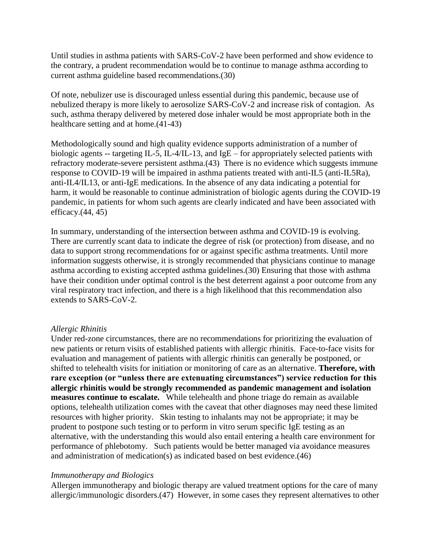Until studies in asthma patients with SARS-CoV-2 have been performed and show evidence to the contrary, a prudent recommendation would be to continue to manage asthma according to current asthma guideline based recommendations.(30)

Of note, nebulizer use is discouraged unless essential during this pandemic, because use of nebulized therapy is more likely to aerosolize SARS-CoV-2 and increase risk of contagion. As such, asthma therapy delivered by metered dose inhaler would be most appropriate both in the healthcare setting and at home.(41-43)

Methodologically sound and high quality evidence supports administration of a number of biologic agents -- targeting IL-5, IL-4/IL-13, and IgE – for appropriately selected patients with refractory moderate-severe persistent asthma.(43) There is no evidence which suggests immune response to COVID-19 will be impaired in asthma patients treated with anti-IL5 (anti-IL5Ra), anti-IL4/IL13, or anti-IgE medications. In the absence of any data indicating a potential for harm, it would be reasonable to continue administration of biologic agents during the COVID-19 pandemic, in patients for whom such agents are clearly indicated and have been associated with efficacy. $(44, 45)$ 

In summary, understanding of the intersection between asthma and COVID-19 is evolving. There are currently scant data to indicate the degree of risk (or protection) from disease, and no data to support strong recommendations for or against specific asthma treatments. Until more information suggests otherwise, it is strongly recommended that physicians continue to manage asthma according to existing accepted asthma guidelines.(30) Ensuring that those with asthma have their condition under optimal control is the best deterrent against a poor outcome from any viral respiratory tract infection, and there is a high likelihood that this recommendation also extends to SARS-CoV-2.

# <span id="page-14-0"></span>*Allergic Rhinitis*

Under red-zone circumstances, there are no recommendations for prioritizing the evaluation of new patients or return visits of established patients with allergic rhinitis. Face-to-face visits for evaluation and management of patients with allergic rhinitis can generally be postponed, or shifted to telehealth visits for initiation or monitoring of care as an alternative. **Therefore, with rare exception (or "unless there are extenuating circumstances") service reduction for this allergic rhinitis would be strongly recommended as pandemic management and isolation measures continue to escalate.** While telehealth and phone triage do remain as available options, telehealth utilization comes with the caveat that other diagnoses may need these limited resources with higher priority. Skin testing to inhalants may not be appropriate; it may be prudent to postpone such testing or to perform in vitro serum specific IgE testing as an alternative, with the understanding this would also entail entering a health care environment for performance of phlebotomy. Such patients would be better managed via avoidance measures and administration of medication(s) as indicated based on best evidence.(46)

# <span id="page-14-1"></span>*Immunotherapy and Biologics*

Allergen immunotherapy and biologic therapy are valued treatment options for the care of many allergic/immunologic disorders.(47) However, in some cases they represent alternatives to other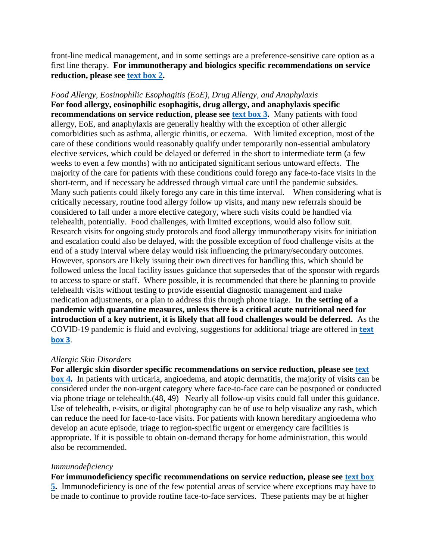front-line medical management, and in some settings are a preference-sensitive care option as a first line therapy. **For immunotherapy and biologics specific recommendations on service reduction, please see [text box 2.](#page-23-0)**

<span id="page-15-0"></span>*Food Allergy, Eosinophilic Esophagitis (EoE), Drug Allergy, and Anaphylaxis* **For food allergy, eosinophilic esophagitis, drug allergy, and anaphylaxis specific recommendations on service reduction, please see [text box 3.](#page-24-0)** Many patients with food allergy, EoE, and anaphylaxis are generally healthy with the exception of other allergic comorbidities such as asthma, allergic rhinitis, or eczema. With limited exception, most of the care of these conditions would reasonably qualify under temporarily non-essential ambulatory elective services, which could be delayed or deferred in the short to intermediate term (a few weeks to even a few months) with no anticipated significant serious untoward effects. The majority of the care for patients with these conditions could forego any face-to-face visits in the short-term, and if necessary be addressed through virtual care until the pandemic subsides. Many such patients could likely forego any care in this time interval. When considering what is critically necessary, routine food allergy follow up visits, and many new referrals should be considered to fall under a more elective category, where such visits could be handled via telehealth, potentially. Food challenges, with limited exceptions, would also follow suit. Research visits for ongoing study protocols and food allergy immunotherapy visits for initiation and escalation could also be delayed, with the possible exception of food challenge visits at the end of a study interval where delay would risk influencing the primary/secondary outcomes. However, sponsors are likely issuing their own directives for handling this, which should be followed unless the local facility issues guidance that supersedes that of the sponsor with regards to access to space or staff. Where possible, it is recommended that there be planning to provide telehealth visits without testing to provide essential diagnostic management and make medication adjustments, or a plan to address this through phone triage. **In the setting of a pandemic with quarantine measures, unless there is a critical acute nutritional need for introduction of a key nutrient, it is likely that all food challenges would be deferred.** As the COVID-19 pandemic is fluid and evolving, suggestions for additional triage are offered in **[text](#page-24-0)  [box 3](#page-24-0)**.

### <span id="page-15-1"></span>*Allergic Skin Disorders*

**For allergic skin disorder specific recommendations on service reduction, please see [text](#page-26-0)  [box 4.](#page-26-0)** In patients with urticaria, angioedema, and atopic dermatitis, the majority of visits can be considered under the non-urgent category where face-to-face care can be postponed or conducted via phone triage or telehealth.(48, 49) Nearly all follow-up visits could fall under this guidance. Use of telehealth, e-visits, or digital photography can be of use to help visualize any rash, which can reduce the need for face-to-face visits. For patients with known hereditary angioedema who develop an acute episode, triage to region-specific urgent or emergency care facilities is appropriate. If it is possible to obtain on-demand therapy for home administration, this would also be recommended.

#### <span id="page-15-2"></span>*Immunodeficiency*

**For immunodeficiency specific recommendations on service reduction, please see [text box](#page-27-0)  [5.](#page-27-0)** Immunodeficiency is one of the few potential areas of service where exceptions may have to be made to continue to provide routine face-to-face services. These patients may be at higher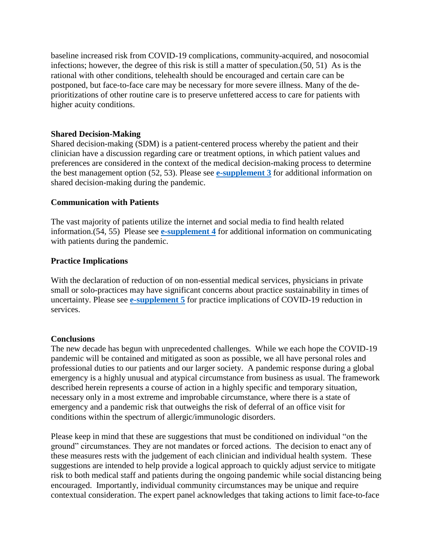baseline increased risk from COVID-19 complications, community-acquired, and nosocomial infections; however, the degree of this risk is still a matter of speculation.(50, 51) As is the rational with other conditions, telehealth should be encouraged and certain care can be postponed, but face-to-face care may be necessary for more severe illness. Many of the deprioritizations of other routine care is to preserve unfettered access to care for patients with higher acuity conditions.

## <span id="page-16-0"></span>**Shared Decision-Making**

Shared decision-making (SDM) is a patient-centered process whereby the patient and their clinician have a discussion regarding care or treatment options, in which patient values and preferences are considered in the context of the medical decision-making process to determine the best management option (52, 53). Please see **[e-supplement 3](#page-36-0)** for additional information on shared decision-making during the pandemic.

## <span id="page-16-1"></span>**Communication with Patients**

The vast majority of patients utilize the internet and social media to find health related information.(54, 55) Please see **[e-supplement 4](#page-37-0)** for additional information on communicating with patients during the pandemic.

## **Practice Implications**

With the declaration of reduction of on non-essential medical services, physicians in private small or solo-practices may have significant concerns about practice sustainability in times of uncertainty. Please see **[e-supplement 5](#page-39-0)** for practice implications of COVID-19 reduction in services.

### **Conclusions**

The new decade has begun with unprecedented challenges. While we each hope the COVID-19 pandemic will be contained and mitigated as soon as possible, we all have personal roles and professional duties to our patients and our larger society. A pandemic response during a global emergency is a highly unusual and atypical circumstance from business as usual. The framework described herein represents a course of action in a highly specific and temporary situation, necessary only in a most extreme and improbable circumstance, where there is a state of emergency and a pandemic risk that outweighs the risk of deferral of an office visit for conditions within the spectrum of allergic/immunologic disorders.

Please keep in mind that these are suggestions that must be conditioned on individual "on the ground" circumstances. They are not mandates or forced actions. The decision to enact any of these measures rests with the judgement of each clinician and individual health system. These suggestions are intended to help provide a logical approach to quickly adjust service to mitigate risk to both medical staff and patients during the ongoing pandemic while social distancing being encouraged. Importantly, individual community circumstances may be unique and require contextual consideration. The expert panel acknowledges that taking actions to limit face-to-face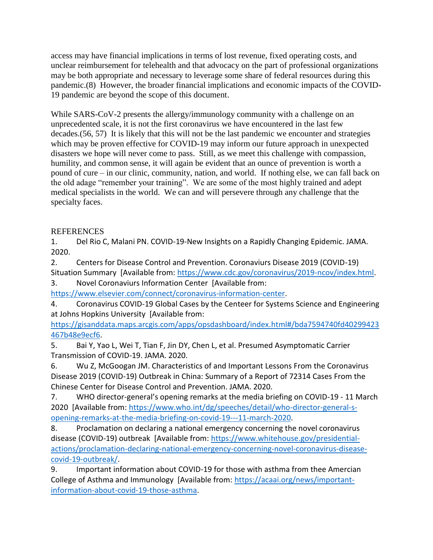access may have financial implications in terms of lost revenue, fixed operating costs, and unclear reimbursement for telehealth and that advocacy on the part of professional organizations may be both appropriate and necessary to leverage some share of federal resources during this pandemic.(8) However, the broader financial implications and economic impacts of the COVID-19 pandemic are beyond the scope of this document.

While SARS-CoV-2 presents the allergy/immunology community with a challenge on an unprecedented scale, it is not the first coronavirus we have encountered in the last few decades.(56, 57) It is likely that this will not be the last pandemic we encounter and strategies which may be proven effective for COVID-19 may inform our future approach in unexpected disasters we hope will never come to pass. Still, as we meet this challenge with compassion, humility, and common sense, it will again be evident that an ounce of prevention is worth a pound of cure – in our clinic, community, nation, and world. If nothing else, we can fall back on the old adage "remember your training". We are some of the most highly trained and adept medical specialists in the world. We can and will persevere through any challenge that the specialty faces.

# **REFERENCES**

1. Del Rio C, Malani PN. COVID-19-New Insights on a Rapidly Changing Epidemic. JAMA. 2020.

2. Centers for Disease Control and Prevention. Coronaviurs Disease 2019 (COVID-19) Situation Summary [Available from: [https://www.cdc.gov/coronavirus/2019-ncov/index.html.](https://www.cdc.gov/coronavirus/2019-ncov/index.html)

3. Novel Coronaviurs Information Center [Available from:

[https://www.elsevier.com/connect/coronavirus-information-center.](https://www.elsevier.com/connect/coronavirus-information-center)

4. Coronavirus COVID-19 Global Cases by the Centeer for Systems Science and Engineering at Johns Hopkins University [Available from:

[https://gisanddata.maps.arcgis.com/apps/opsdashboard/index.html#/bda7594740fd40299423](https://gisanddata.maps.arcgis.com/apps/opsdashboard/index.html#/bda7594740fd40299423467b48e9ecf6) [467b48e9ecf6.](https://gisanddata.maps.arcgis.com/apps/opsdashboard/index.html#/bda7594740fd40299423467b48e9ecf6)

5. Bai Y, Yao L, Wei T, Tian F, Jin DY, Chen L, et al. Presumed Asymptomatic Carrier Transmission of COVID-19. JAMA. 2020.

6. Wu Z, McGoogan JM. Characteristics of and Important Lessons From the Coronavirus Disease 2019 (COVID-19) Outbreak in China: Summary of a Report of 72314 Cases From the Chinese Center for Disease Control and Prevention. JAMA. 2020.

7. WHO director-general's opening remarks at the media briefing on COVID-19 - 11 March 2020 [Available from: [https://www.who.int/dg/speeches/detail/who-director-general-s](https://www.who.int/dg/speeches/detail/who-director-general-s-opening-remarks-at-the-media-briefing-on-covid-19---11-march-2020)[opening-remarks-at-the-media-briefing-on-covid-19---11-march-2020.](https://www.who.int/dg/speeches/detail/who-director-general-s-opening-remarks-at-the-media-briefing-on-covid-19---11-march-2020)

8. Proclamation on declaring a national emergency concerning the novel coronavirus disease (COVID-19) outbreak [Available from: [https://www.whitehouse.gov/presidential](https://www.whitehouse.gov/presidential-actions/proclamation-declaring-national-emergency-concerning-novel-coronavirus-disease-covid-19-outbreak/)[actions/proclamation-declaring-national-emergency-concerning-novel-coronavirus-disease](https://www.whitehouse.gov/presidential-actions/proclamation-declaring-national-emergency-concerning-novel-coronavirus-disease-covid-19-outbreak/)[covid-19-outbreak/.](https://www.whitehouse.gov/presidential-actions/proclamation-declaring-national-emergency-concerning-novel-coronavirus-disease-covid-19-outbreak/)

9. Important information about COVID-19 for those with asthma from thee Amercian College of Asthma and Immunology [Available from: [https://acaai.org/news/important](https://acaai.org/news/important-information-about-covid-19-those-asthma)[information-about-covid-19-those-asthma.](https://acaai.org/news/important-information-about-covid-19-those-asthma)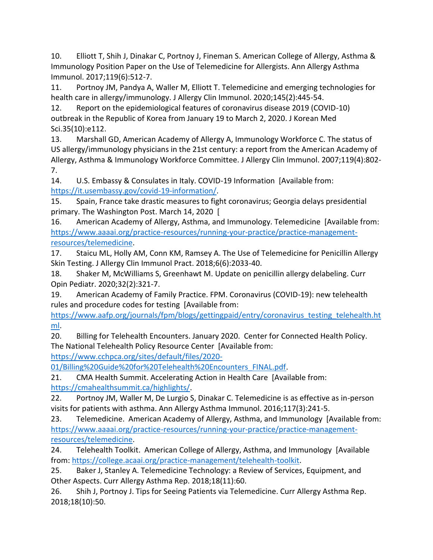10. Elliott T, Shih J, Dinakar C, Portnoy J, Fineman S. American College of Allergy, Asthma & Immunology Position Paper on the Use of Telemedicine for Allergists. Ann Allergy Asthma Immunol. 2017;119(6):512-7.

11. Portnoy JM, Pandya A, Waller M, Elliott T. Telemedicine and emerging technologies for health care in allergy/immunology. J Allergy Clin Immunol. 2020;145(2):445-54.

12. Report on the epidemiological features of coronavirus disease 2019 (COVID-10) outbreak in the Republic of Korea from January 19 to March 2, 2020. J Korean Med Sci.35(10):e112.

13. Marshall GD, American Academy of Allergy A, Immunology Workforce C. The status of US allergy/immunology physicians in the 21st century: a report from the American Academy of Allergy, Asthma & Immunology Workforce Committee. J Allergy Clin Immunol. 2007;119(4):802- 7.

14. U.S. Embassy & Consulates in Italy. COVID-19 Information [Available from: [https://it.usembassy.gov/covid-19-information/.](https://it.usembassy.gov/covid-19-information/)

15. Spain, France take drastic measures to fight coronavirus; Georgia delays presidential primary. The Washington Post. March 14, 2020 [

16. American Academy of Allergy, Asthma, and Immunology. Telemedicine [Available from: [https://www.aaaai.org/practice-resources/running-your-practice/practice-management](https://www.aaaai.org/practice-resources/running-your-practice/practice-management-resources/telemedicine)[resources/telemedicine.](https://www.aaaai.org/practice-resources/running-your-practice/practice-management-resources/telemedicine)

17. Staicu ML, Holly AM, Conn KM, Ramsey A. The Use of Telemedicine for Penicillin Allergy Skin Testing. J Allergy Clin Immunol Pract. 2018;6(6):2033-40.

18. Shaker M, McWilliams S, Greenhawt M. Update on penicillin allergy delabeling. Curr Opin Pediatr. 2020;32(2):321-7.

19. American Academy of Family Practice. FPM. Coronavirus (COVID-19): new telehealth rules and procedure codes for testing [Available from:

[https://www.aafp.org/journals/fpm/blogs/gettingpaid/entry/coronavirus\\_testing\\_telehealth.ht](https://www.aafp.org/journals/fpm/blogs/gettingpaid/entry/coronavirus_testing_telehealth.html) [ml.](https://www.aafp.org/journals/fpm/blogs/gettingpaid/entry/coronavirus_testing_telehealth.html)

20. Billing for Telehealth Encounters. January 2020. Center for Connected Health Policy. The National Telehealth Policy Resource Center [Available from:

[https://www.cchpca.org/sites/default/files/2020-](https://www.cchpca.org/sites/default/files/2020-01/Billing%20Guide%20for%20Telehealth%20Encounters_FINAL.pdf)

[01/Billing%20Guide%20for%20Telehealth%20Encounters\\_FINAL.pdf.](https://www.cchpca.org/sites/default/files/2020-01/Billing%20Guide%20for%20Telehealth%20Encounters_FINAL.pdf)

21. CMA Health Summit. Accelerating Action in Health Care [Available from: [https://cmahealthsummit.ca/highlights/.](https://cmahealthsummit.ca/highlights/)

22. Portnoy JM, Waller M, De Lurgio S, Dinakar C. Telemedicine is as effective as in-person visits for patients with asthma. Ann Allergy Asthma Immunol. 2016;117(3):241-5.

23. Telemedicine. American Academy of Allergy, Asthma, and Immunology [Available from: [https://www.aaaai.org/practice-resources/running-your-practice/practice-management](https://www.aaaai.org/practice-resources/running-your-practice/practice-management-resources/telemedicine)[resources/telemedicine.](https://www.aaaai.org/practice-resources/running-your-practice/practice-management-resources/telemedicine)

24. Telehealth Toolkit. American College of Allergy, Asthma, and Immunology [Available from[: https://college.acaai.org/practice-management/telehealth-toolkit.](https://college.acaai.org/practice-management/telehealth-toolkit)

25. Baker J, Stanley A. Telemedicine Technology: a Review of Services, Equipment, and Other Aspects. Curr Allergy Asthma Rep. 2018;18(11):60.

26. Shih J, Portnoy J. Tips for Seeing Patients via Telemedicine. Curr Allergy Asthma Rep. 2018;18(10):50.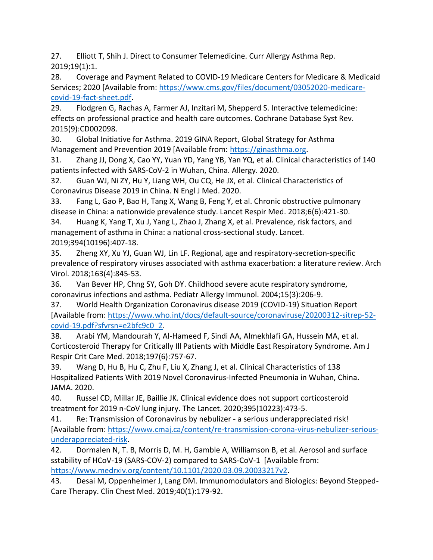27. Elliott T, Shih J. Direct to Consumer Telemedicine. Curr Allergy Asthma Rep. 2019;19(1):1.

28. Coverage and Payment Related to COVID-19 Medicare Centers for Medicare & Medicaid Services; 2020 [Available from: [https://www.cms.gov/files/document/03052020-medicare](https://www.cms.gov/files/document/03052020-medicare-covid-19-fact-sheet.pdf)[covid-19-fact-sheet.pdf.](https://www.cms.gov/files/document/03052020-medicare-covid-19-fact-sheet.pdf)

29. Flodgren G, Rachas A, Farmer AJ, Inzitari M, Shepperd S. Interactive telemedicine: effects on professional practice and health care outcomes. Cochrane Database Syst Rev. 2015(9):CD002098.

30. Global Initiative for Asthma. 2019 GINA Report, Global Strategy for Asthma Management and Prevention 2019 [Available from: [https://ginasthma.org.](https://ginasthma.org/)

31. Zhang JJ, Dong X, Cao YY, Yuan YD, Yang YB, Yan YQ, et al. Clinical characteristics of 140 patients infected with SARS-CoV-2 in Wuhan, China. Allergy. 2020.

32. Guan WJ, Ni ZY, Hu Y, Liang WH, Ou CQ, He JX, et al. Clinical Characteristics of Coronavirus Disease 2019 in China. N Engl J Med. 2020.

33. Fang L, Gao P, Bao H, Tang X, Wang B, Feng Y, et al. Chronic obstructive pulmonary disease in China: a nationwide prevalence study. Lancet Respir Med. 2018;6(6):421-30.

34. Huang K, Yang T, Xu J, Yang L, Zhao J, Zhang X, et al. Prevalence, risk factors, and management of asthma in China: a national cross-sectional study. Lancet. 2019;394(10196):407-18.

35. Zheng XY, Xu YJ, Guan WJ, Lin LF. Regional, age and respiratory-secretion-specific prevalence of respiratory viruses associated with asthma exacerbation: a literature review. Arch Virol. 2018;163(4):845-53.

36. Van Bever HP, Chng SY, Goh DY. Childhood severe acute respiratory syndrome, coronavirus infections and asthma. Pediatr Allergy Immunol. 2004;15(3):206-9.

37. World Health Organization Coronavirus disease 2019 (COVID-19) Situation Report [Available from: [https://www.who.int/docs/default-source/coronaviruse/20200312-sitrep-52](https://www.who.int/docs/default-source/coronaviruse/20200312-sitrep-52-covid-19.pdf?sfvrsn=e2bfc9c0_2) [covid-19.pdf?sfvrsn=e2bfc9c0\\_2.](https://www.who.int/docs/default-source/coronaviruse/20200312-sitrep-52-covid-19.pdf?sfvrsn=e2bfc9c0_2)

38. Arabi YM, Mandourah Y, Al-Hameed F, Sindi AA, Almekhlafi GA, Hussein MA, et al. Corticosteroid Therapy for Critically Ill Patients with Middle East Respiratory Syndrome. Am J Respir Crit Care Med. 2018;197(6):757-67.

39. Wang D, Hu B, Hu C, Zhu F, Liu X, Zhang J, et al. Clinical Characteristics of 138 Hospitalized Patients With 2019 Novel Coronavirus-Infected Pneumonia in Wuhan, China. JAMA. 2020.

40. Russel CD, Millar JE, Baillie JK. Clinical evidence does not support corticosteroid treatment for 2019 n-CoV lung injury. The Lancet. 2020;395(10223):473-5.

41. Re: Transmission of Coronavirus by nebulizer - a serious underappreciated risk! [Available from: [https://www.cmaj.ca/content/re-transmission-corona-virus-nebulizer-serious](https://www.cmaj.ca/content/re-transmission-corona-virus-nebulizer-serious-underappreciated-risk)[underappreciated-risk.](https://www.cmaj.ca/content/re-transmission-corona-virus-nebulizer-serious-underappreciated-risk)

42. Dormalen N, T. B, Morris D, M. H, Gamble A, Williamson B, et al. Aerosol and surface sstability of HCoV-19 (SARS-COV-2) compared to SARS-CoV-1 [Available from: [https://www.medrxiv.org/content/10.1101/2020.03.09.20033217v2.](https://www.medrxiv.org/content/10.1101/2020.03.09.20033217v2)

43. Desai M, Oppenheimer J, Lang DM. Immunomodulators and Biologics: Beyond Stepped-Care Therapy. Clin Chest Med. 2019;40(1):179-92.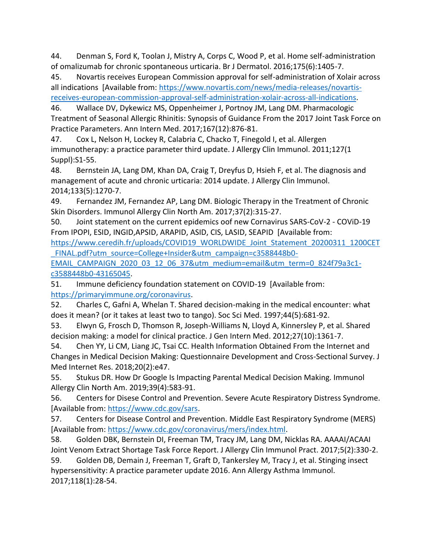44. Denman S, Ford K, Toolan J, Mistry A, Corps C, Wood P, et al. Home self-administration of omalizumab for chronic spontaneous urticaria. Br J Dermatol. 2016;175(6):1405-7.

45. Novartis receives European Commission approval for self-administration of Xolair across all indications [Available from: [https://www.novartis.com/news/media-releases/novartis](https://www.novartis.com/news/media-releases/novartis-receives-european-commission-approval-self-administration-xolair-across-all-indications)[receives-european-commission-approval-self-administration-xolair-across-all-indications.](https://www.novartis.com/news/media-releases/novartis-receives-european-commission-approval-self-administration-xolair-across-all-indications)

46. Wallace DV, Dykewicz MS, Oppenheimer J, Portnoy JM, Lang DM. Pharmacologic Treatment of Seasonal Allergic Rhinitis: Synopsis of Guidance From the 2017 Joint Task Force on Practice Parameters. Ann Intern Med. 2017;167(12):876-81.

47. Cox L, Nelson H, Lockey R, Calabria C, Chacko T, Finegold I, et al. Allergen immunotherapy: a practice parameter third update. J Allergy Clin Immunol. 2011;127(1 Suppl):S1-55.

48. Bernstein JA, Lang DM, Khan DA, Craig T, Dreyfus D, Hsieh F, et al. The diagnosis and management of acute and chronic urticaria: 2014 update. J Allergy Clin Immunol. 2014;133(5):1270-7.

49. Fernandez JM, Fernandez AP, Lang DM. Biologic Therapy in the Treatment of Chronic Skin Disorders. Immunol Allergy Clin North Am. 2017;37(2):315-27.

50. Joint statement on the current epidemics oof new Cornavirus SARS-CoV-2 - COViD-19 From IPOPI, ESID, INGID,APSID, ARAPID, ASID, CIS, LASID, SEAPID [Available from:

[https://www.ceredih.fr/uploads/COVID19\\_WORLDWIDE\\_Joint\\_Statement\\_20200311\\_1200CET](https://www.ceredih.fr/uploads/COVID19_WORLDWIDE_Joint_Statement_20200311_1200CET_FINAL.pdf?utm_source=College+Insider&utm_campaign=c3588448b0-EMAIL_CAMPAIGN_2020_03_12_06_37&utm_medium=email&utm_term=0_824f79a3c1-c3588448b0-43165045) FINAL.pdf?utm\_source=College+Insider&utm\_campaign=c3588448b0-

EMAIL CAMPAIGN\_2020\_03\_12\_06\_37&utm\_medium=email&utm\_term=0\_824f79a3c1[c3588448b0-43165045.](https://www.ceredih.fr/uploads/COVID19_WORLDWIDE_Joint_Statement_20200311_1200CET_FINAL.pdf?utm_source=College+Insider&utm_campaign=c3588448b0-EMAIL_CAMPAIGN_2020_03_12_06_37&utm_medium=email&utm_term=0_824f79a3c1-c3588448b0-43165045)

51. Immune deficiency foundation statement on COVID-19 [Available from: [https://primaryimmune.org/coronavirus.](https://primaryimmune.org/coronavirus)

52. Charles C, Gafni A, Whelan T. Shared decision-making in the medical encounter: what does it mean? (or it takes at least two to tango). Soc Sci Med. 1997;44(5):681-92.

53. Elwyn G, Frosch D, Thomson R, Joseph-Williams N, Lloyd A, Kinnersley P, et al. Shared decision making: a model for clinical practice. J Gen Intern Med. 2012;27(10):1361-7.

54. Chen YY, Li CM, Liang JC, Tsai CC. Health Information Obtained From the Internet and Changes in Medical Decision Making: Questionnaire Development and Cross-Sectional Survey. J Med Internet Res. 2018;20(2):e47.

55. Stukus DR. How Dr Google Is Impacting Parental Medical Decision Making. Immunol Allergy Clin North Am. 2019;39(4):583-91.

56. Centers for Disese Control and Prevention. Severe Acute Respiratory Distress Syndrome. [Available from: [https://www.cdc.gov/sars.](https://www.cdc.gov/sars)

57. Centers for Disease Control and Prevention. Middle East Respiratory Syndrome (MERS) [Available from: [https://www.cdc.gov/coronavirus/mers/index.html.](https://www.cdc.gov/coronavirus/mers/index.html)

58. Golden DBK, Bernstein DI, Freeman TM, Tracy JM, Lang DM, Nicklas RA. AAAAI/ACAAI Joint Venom Extract Shortage Task Force Report. J Allergy Clin Immunol Pract. 2017;5(2):330-2.

59. Golden DB, Demain J, Freeman T, Graft D, Tankersley M, Tracy J, et al. Stinging insect hypersensitivity: A practice parameter update 2016. Ann Allergy Asthma Immunol. 2017;118(1):28-54.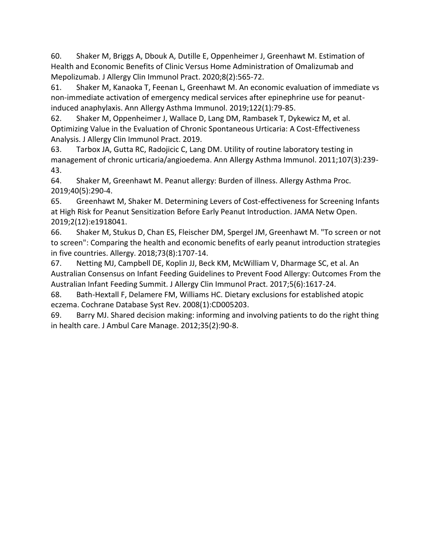60. Shaker M, Briggs A, Dbouk A, Dutille E, Oppenheimer J, Greenhawt M. Estimation of Health and Economic Benefits of Clinic Versus Home Administration of Omalizumab and Mepolizumab. J Allergy Clin Immunol Pract. 2020;8(2):565-72.

61. Shaker M, Kanaoka T, Feenan L, Greenhawt M. An economic evaluation of immediate vs non-immediate activation of emergency medical services after epinephrine use for peanutinduced anaphylaxis. Ann Allergy Asthma Immunol. 2019;122(1):79-85.

62. Shaker M, Oppenheimer J, Wallace D, Lang DM, Rambasek T, Dykewicz M, et al. Optimizing Value in the Evaluation of Chronic Spontaneous Urticaria: A Cost-Effectiveness Analysis. J Allergy Clin Immunol Pract. 2019.

63. Tarbox JA, Gutta RC, Radojicic C, Lang DM. Utility of routine laboratory testing in management of chronic urticaria/angioedema. Ann Allergy Asthma Immunol. 2011;107(3):239- 43.

64. Shaker M, Greenhawt M. Peanut allergy: Burden of illness. Allergy Asthma Proc. 2019;40(5):290-4.

65. Greenhawt M, Shaker M. Determining Levers of Cost-effectiveness for Screening Infants at High Risk for Peanut Sensitization Before Early Peanut Introduction. JAMA Netw Open. 2019;2(12):e1918041.

66. Shaker M, Stukus D, Chan ES, Fleischer DM, Spergel JM, Greenhawt M. "To screen or not to screen": Comparing the health and economic benefits of early peanut introduction strategies in five countries. Allergy. 2018;73(8):1707-14.

67. Netting MJ, Campbell DE, Koplin JJ, Beck KM, McWilliam V, Dharmage SC, et al. An Australian Consensus on Infant Feeding Guidelines to Prevent Food Allergy: Outcomes From the Australian Infant Feeding Summit. J Allergy Clin Immunol Pract. 2017;5(6):1617-24.

68. Bath-Hextall F, Delamere FM, Williams HC. Dietary exclusions for established atopic eczema. Cochrane Database Syst Rev. 2008(1):CD005203.

69. Barry MJ. Shared decision making: informing and involving patients to do the right thing in health care. J Ambul Care Manage. 2012;35(2):90-8.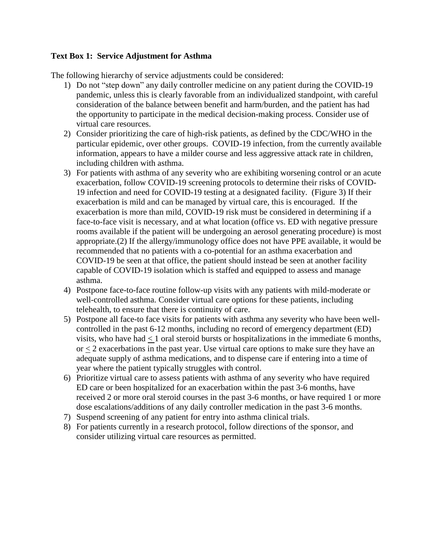## <span id="page-22-0"></span>**Text Box 1: Service Adjustment for Asthma**

- 1) Do not "step down" any daily controller medicine on any patient during the COVID-19 pandemic, unless this is clearly favorable from an individualized standpoint, with careful consideration of the balance between benefit and harm/burden, and the patient has had the opportunity to participate in the medical decision-making process. Consider use of virtual care resources.
- 2) Consider prioritizing the care of high-risk patients, as defined by the CDC/WHO in the particular epidemic, over other groups. COVID-19 infection, from the currently available information, appears to have a milder course and less aggressive attack rate in children, including children with asthma.
- 3) For patients with asthma of any severity who are exhibiting worsening control or an acute exacerbation, follow COVID-19 screening protocols to determine their risks of COVID-19 infection and need for COVID-19 testing at a designated facility. (Figure 3) If their exacerbation is mild and can be managed by virtual care, this is encouraged. If the exacerbation is more than mild, COVID-19 risk must be considered in determining if a face-to-face visit is necessary, and at what location (office vs. ED with negative pressure rooms available if the patient will be undergoing an aerosol generating procedure) is most appropriate.(2) If the allergy/immunology office does not have PPE available, it would be recommended that no patients with a co-potential for an asthma exacerbation and COVID-19 be seen at that office, the patient should instead be seen at another facility capable of COVID-19 isolation which is staffed and equipped to assess and manage asthma.
- 4) Postpone face-to-face routine follow-up visits with any patients with mild-moderate or well-controlled asthma. Consider virtual care options for these patients, including telehealth, to ensure that there is continuity of care.
- 5) Postpone all face-to face visits for patients with asthma any severity who have been wellcontrolled in the past 6-12 months, including no record of emergency department (ED) visits, who have had  $< 1$  oral steroid bursts or hospitalizations in the immediate 6 months, or < 2 exacerbations in the past year. Use virtual care options to make sure they have an adequate supply of asthma medications, and to dispense care if entering into a time of year where the patient typically struggles with control.
- 6) Prioritize virtual care to assess patients with asthma of any severity who have required ED care or been hospitalized for an exacerbation within the past 3-6 months, have received 2 or more oral steroid courses in the past 3-6 months, or have required 1 or more dose escalations/additions of any daily controller medication in the past 3-6 months.
- 7) Suspend screening of any patient for entry into asthma clinical trials.
- 8) For patients currently in a research protocol, follow directions of the sponsor, and consider utilizing virtual care resources as permitted.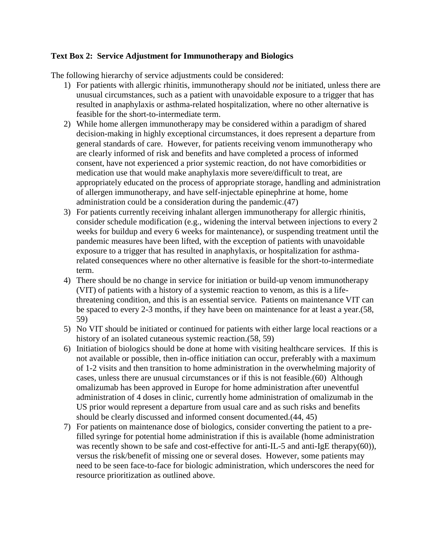## <span id="page-23-0"></span>**Text Box 2: Service Adjustment for Immunotherapy and Biologics**

- 1) For patients with allergic rhinitis, immunotherapy should *not* be initiated, unless there are unusual circumstances, such as a patient with unavoidable exposure to a trigger that has resulted in anaphylaxis or asthma-related hospitalization, where no other alternative is feasible for the short-to-intermediate term.
- 2) While home allergen immunotherapy may be considered within a paradigm of shared decision-making in highly exceptional circumstances, it does represent a departure from general standards of care. However, for patients receiving venom immunotherapy who are clearly informed of risk and benefits and have completed a process of informed consent, have not experienced a prior systemic reaction, do not have comorbidities or medication use that would make anaphylaxis more severe/difficult to treat, are appropriately educated on the process of appropriate storage, handling and administration of allergen immunotherapy, and have self-injectable epinephrine at home, home administration could be a consideration during the pandemic.(47)
- 3) For patients currently receiving inhalant allergen immunotherapy for allergic rhinitis, consider schedule modification (e.g., widening the interval between injections to every 2 weeks for buildup and every 6 weeks for maintenance), or suspending treatment until the pandemic measures have been lifted, with the exception of patients with unavoidable exposure to a trigger that has resulted in anaphylaxis, or hospitalization for asthmarelated consequences where no other alternative is feasible for the short-to-intermediate term.
- 4) There should be no change in service for initiation or build-up venom immunotherapy (VIT) of patients with a history of a systemic reaction to venom, as this is a lifethreatening condition, and this is an essential service. Patients on maintenance VIT can be spaced to every 2-3 months, if they have been on maintenance for at least a year.(58, 59)
- 5) No VIT should be initiated or continued for patients with either large local reactions or a history of an isolated cutaneous systemic reaction.(58, 59)
- 6) Initiation of biologics should be done at home with visiting healthcare services. If this is not available or possible, then in-office initiation can occur, preferably with a maximum of 1-2 visits and then transition to home administration in the overwhelming majority of cases, unless there are unusual circumstances or if this is not feasible.(60) Although omalizumab has been approved in Europe for home administration after uneventful administration of 4 doses in clinic, currently home administration of omalizumab in the US prior would represent a departure from usual care and as such risks and benefits should be clearly discussed and informed consent documented.(44, 45)
- 7) For patients on maintenance dose of biologics, consider converting the patient to a prefilled syringe for potential home administration if this is available (home administration was recently shown to be safe and cost-effective for anti-IL-5 and anti-IgE therapy(60)), versus the risk/benefit of missing one or several doses. However, some patients may need to be seen face-to-face for biologic administration, which underscores the need for resource prioritization as outlined above.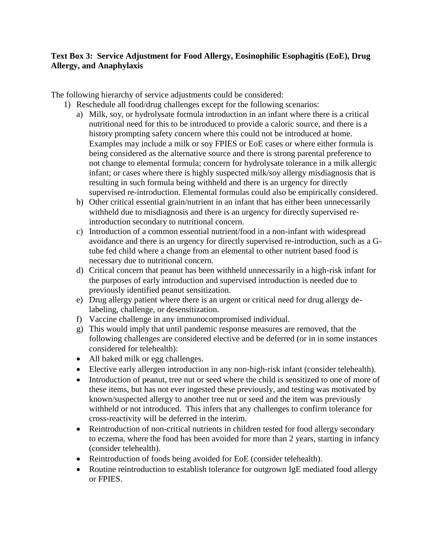# <span id="page-24-0"></span>**Text Box 3: Service Adjustment for Food Allergy, Eosinophilic Esophagitis (EoE), Drug Allergy, and Anaphylaxis**

- 1) Reschedule all food/drug challenges except for the following scenarios:
	- a) Milk, soy, or hydrolysate formula introduction in an infant where there is a critical nutritional need for this to be introduced to provide a caloric source, and there is a history prompting safety concern where this could not be introduced at home. Examples may include a milk or soy FPIES or EoE cases or where either formula is being considered as the alternative source and there is strong parental preference to not change to elemental formula; concern for hydrolysate tolerance in a milk allergic infant; or cases where there is highly suspected milk/soy allergy misdiagnosis that is resulting in such formula being withheld and there is an urgency for directly supervised re-introduction. Elemental formulas could also be empirically considered.
	- b) Other critical essential grain/nutrient in an infant that has either been unnecessarily withheld due to misdiagnosis and there is an urgency for directly supervised reintroduction secondary to nutritional concern.
	- c) Introduction of a common essential nutrient/food in a non-infant with widespread avoidance and there is an urgency for directly supervised re-introduction, such as a Gtube fed child where a change from an elemental to other nutrient based food is necessary due to nutritional concern.
	- d) Critical concern that peanut has been withheld unnecessarily in a high-risk infant for the purposes of early introduction and supervised introduction is needed due to previously identified peanut sensitization.
	- e) Drug allergy patient where there is an urgent or critical need for drug allergy delabeling, challenge, or desensitization.
	- f) Vaccine challenge in any immunocompromised individual.
	- g) This would imply that until pandemic response measures are removed, that the following challenges are considered elective and be deferred (or in in some instances considered for telehealth):
	- All baked milk or egg challenges.
	- Elective early allergen introduction in any non-high-risk infant (consider telehealth).
	- Introduction of peanut, tree nut or seed where the child is sensitized to one of more of these items, but has not ever ingested these previously, and testing was motivated by known/suspected allergy to another tree nut or seed and the item was previously withheld or not introduced. This infers that any challenges to confirm tolerance for cross-reactivity will be deferred in the interim.
	- Reintroduction of non-critical nutrients in children tested for food allergy secondary to eczema, where the food has been avoided for more than 2 years, starting in infancy (consider telehealth).
	- Reintroduction of foods being avoided for EoE (consider telehealth).
	- Routine reintroduction to establish tolerance for outgrown IgE mediated food allergy or FPIES.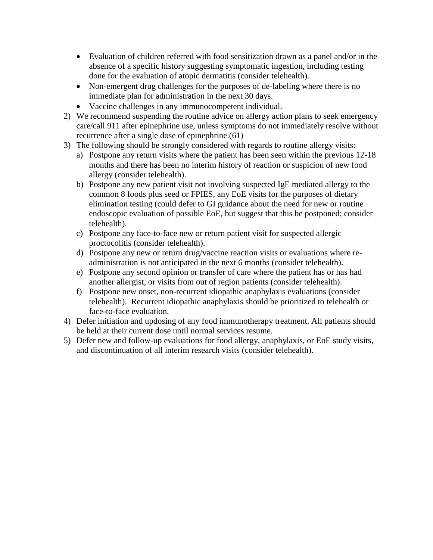- Evaluation of children referred with food sensitization drawn as a panel and/or in the absence of a specific history suggesting symptomatic ingestion, including testing done for the evaluation of atopic dermatitis (consider telehealth).
- Non-emergent drug challenges for the purposes of de-labeling where there is no immediate plan for administration in the next 30 days.
- Vaccine challenges in any immunocompetent individual.
- 2) We recommend suspending the routine advice on allergy action plans to seek emergency care/call 911 after epinephrine use, unless symptoms do not immediately resolve without recurrence after a single dose of epinephrine.(61)
- 3) The following should be strongly considered with regards to routine allergy visits:
	- a) Postpone any return visits where the patient has been seen within the previous 12-18 months and there has been no interim history of reaction or suspicion of new food allergy (consider telehealth).
	- b) Postpone any new patient visit not involving suspected IgE mediated allergy to the common 8 foods plus seed or FPIES, any EoE visits for the purposes of dietary elimination testing (could defer to GI guidance about the need for new or routine endoscopic evaluation of possible EoE, but suggest that this be postponed; consider telehealth).
	- c) Postpone any face-to-face new or return patient visit for suspected allergic proctocolitis (consider telehealth).
	- d) Postpone any new or return drug/vaccine reaction visits or evaluations where readministration is not anticipated in the next 6 months (consider telehealth).
	- e) Postpone any second opinion or transfer of care where the patient has or has had another allergist, or visits from out of region patients (consider telehealth).
	- f) Postpone new onset, non-recurrent idiopathic anaphylaxis evaluations (consider telehealth). Recurrent idiopathic anaphylaxis should be prioritized to telehealth or face-to-face evaluation.
- 4) Defer initiation and updosing of any food immunotherapy treatment. All patients should be held at their current dose until normal services resume.
- 5) Defer new and follow-up evaluations for food allergy, anaphylaxis, or EoE study visits, and discontinuation of all interim research visits (consider telehealth).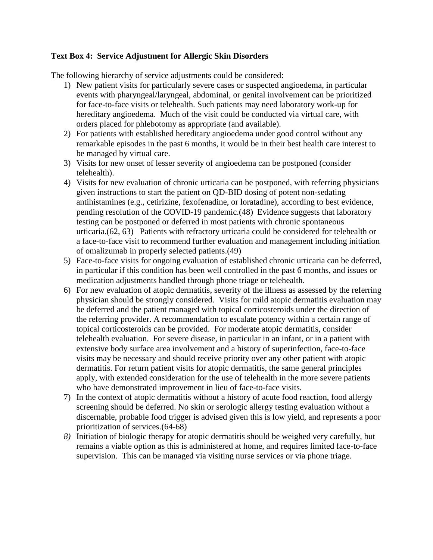## <span id="page-26-0"></span>**Text Box 4: Service Adjustment for Allergic Skin Disorders**

- 1) New patient visits for particularly severe cases or suspected angioedema, in particular events with pharyngeal/laryngeal, abdominal, or genital involvement can be prioritized for face-to-face visits or telehealth. Such patients may need laboratory work-up for hereditary angioedema. Much of the visit could be conducted via virtual care, with orders placed for phlebotomy as appropriate (and available).
- 2) For patients with established hereditary angioedema under good control without any remarkable episodes in the past 6 months, it would be in their best health care interest to be managed by virtual care.
- 3) Visits for new onset of lesser severity of angioedema can be postponed (consider telehealth).
- 4) Visits for new evaluation of chronic urticaria can be postponed, with referring physicians given instructions to start the patient on QD-BID dosing of potent non-sedating antihistamines (e.g., cetirizine, fexofenadine, or loratadine), according to best evidence, pending resolution of the COVID-19 pandemic.(48) Evidence suggests that laboratory testing can be postponed or deferred in most patients with chronic spontaneous urticaria.(62, 63) Patients with refractory urticaria could be considered for telehealth or a face-to-face visit to recommend further evaluation and management including initiation of omalizumab in properly selected patients.(49)
- 5) Face-to-face visits for ongoing evaluation of established chronic urticaria can be deferred, in particular if this condition has been well controlled in the past 6 months, and issues or medication adjustments handled through phone triage or telehealth.
- 6) For new evaluation of atopic dermatitis, severity of the illness as assessed by the referring physician should be strongly considered. Visits for mild atopic dermatitis evaluation may be deferred and the patient managed with topical corticosteroids under the direction of the referring provider. A recommendation to escalate potency within a certain range of topical corticosteroids can be provided. For moderate atopic dermatitis, consider telehealth evaluation. For severe disease, in particular in an infant, or in a patient with extensive body surface area involvement and a history of superinfection, face-to-face visits may be necessary and should receive priority over any other patient with atopic dermatitis. For return patient visits for atopic dermatitis, the same general principles apply, with extended consideration for the use of telehealth in the more severe patients who have demonstrated improvement in lieu of face-to-face visits.
- 7) In the context of atopic dermatitis without a history of acute food reaction, food allergy screening should be deferred. No skin or serologic allergy testing evaluation without a discernable, probable food trigger is advised given this is low yield, and represents a poor prioritization of services.(64-68)
- *8)* Initiation of biologic therapy for atopic dermatitis should be weighed very carefully, but remains a viable option as this is administered at home, and requires limited face-to-face supervision. This can be managed via visiting nurse services or via phone triage.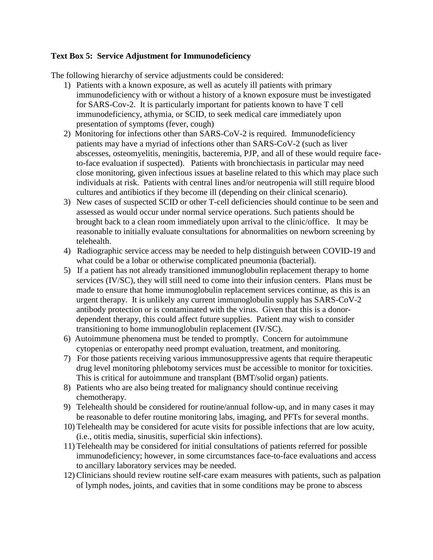## <span id="page-27-0"></span>**Text Box 5: Service Adjustment for Immunodeficiency**

- 1) Patients with a known exposure, as well as acutely ill patients with primary immunodeficiency with or without a history of a known exposure must be investigated for SARS-Cov-2. It is particularly important for patients known to have T cell immunodeficiency, athymia, or SCID, to seek medical care immediately upon presentation of symptoms (fever, cough)
- 2) Monitoring for infections other than SARS-CoV-2 is required. Immunodeficiency patients may have a myriad of infections other than SARS-CoV-2 (such as liver abscesses, osteomyelitis, meningitis, bacteremia, PJP, and all of these would require faceto-face evaluation if suspected). Patients with bronchiectasis in particular may need close monitoring, given infectious issues at baseline related to this which may place such individuals at risk. Patients with central lines and/or neutropenia will still require blood cultures and antibiotics if they become ill (depending on their clinical scenario).
- 3) New cases of suspected SCID or other T-cell deficiencies should continue to be seen and assessed as would occur under normal service operations. Such patients should be brought back to a clean room immediately upon arrival to the clinic/office. It may be reasonable to initially evaluate consultations for abnormalities on newborn screening by telehealth.
- 4) Radiographic service access may be needed to help distinguish between COVID-19 and what could be a lobar or otherwise complicated pneumonia (bacterial).
- 5) If a patient has not already transitioned immunoglobulin replacement therapy to home services (IV/SC), they will still need to come into their infusion centers. Plans must be made to ensure that home immunoglobulin replacement services continue, as this is an urgent therapy. It is unlikely any current immunoglobulin supply has SARS-CoV-2 antibody protection or is contaminated with the virus. Given that this is a donordependent therapy, this could affect future supplies. Patient may wish to consider transitioning to home immunoglobulin replacement (IV/SC).
- 6) Autoimmune phenomena must be tended to promptly. Concern for autoimmune cytopenias or enteropathy need prompt evaluation, treatment, and monitoring.
- 7) For those patients receiving various immunosuppressive agents that require therapeutic drug level monitoring phlebotomy services must be accessible to monitor for toxicities. This is critical for autoimmune and transplant (BMT/solid organ) patients.
- 8) Patients who are also being treated for malignancy should continue receiving chemotherapy.
- 9) Telehealth should be considered for routine/annual follow-up, and in many cases it may be reasonable to defer routine monitoring labs, imaging, and PFTs for several months.
- 10) Telehealth may be considered for acute visits for possible infections that are low acuity, (i.e., otitis media, sinusitis, superficial skin infections).
- 11) Telehealth may be considered for initial consultations of patients referred for possible immunodeficiency; however, in some circumstances face-to-face evaluations and access to ancillary laboratory services may be needed.
- 12)Clinicians should review routine self-care exam measures with patients, such as palpation of lymph nodes, joints, and cavities that in some conditions may be prone to abscess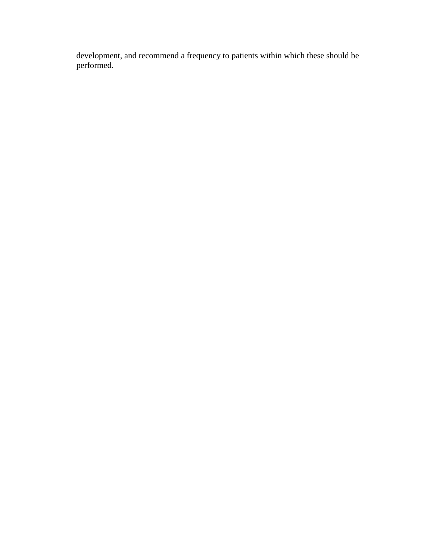development, and recommend a frequency to patients within which these should be performed.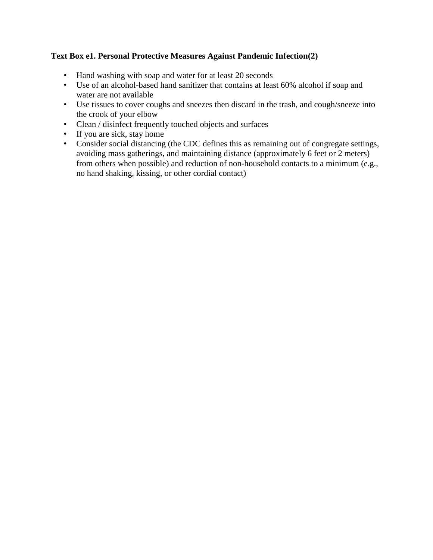# <span id="page-29-0"></span>**Text Box e1. Personal Protective Measures Against Pandemic Infection(2)**

- Hand washing with soap and water for at least 20 seconds
- Use of an alcohol-based hand sanitizer that contains at least 60% alcohol if soap and water are not available
- Use tissues to cover coughs and sneezes then discard in the trash, and cough/sneeze into the crook of your elbow
- Clean / disinfect frequently touched objects and surfaces
- If you are sick, stay home
- Consider social distancing (the CDC defines this as remaining out of congregate settings, avoiding mass gatherings, and maintaining distance (approximately 6 feet or 2 meters) from others when possible) and reduction of non-household contacts to a minimum (e.g., no hand shaking, kissing, or other cordial contact)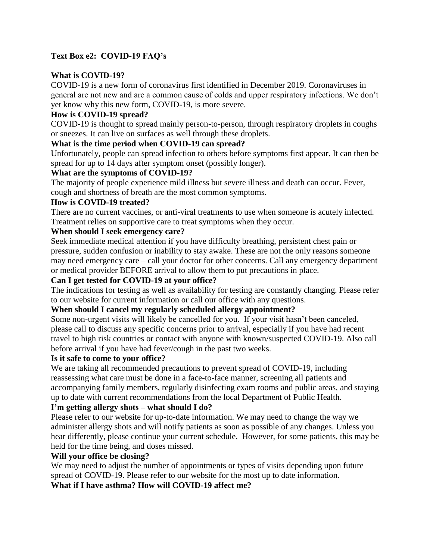# <span id="page-30-0"></span>**Text Box e2: COVID-19 FAQ's**

## **What is COVID-19?**

COVID-19 is a new form of coronavirus first identified in December 2019. Coronaviruses in general are not new and are a common cause of colds and upper respiratory infections. We don't yet know why this new form, COVID-19, is more severe.

## **How is COVID-19 spread?**

COVID-19 is thought to spread mainly person-to-person, through respiratory droplets in coughs or sneezes. It can live on surfaces as well through these droplets.

## **What is the time period when COVID-19 can spread?**

Unfortunately, people can spread infection to others before symptoms first appear. It can then be spread for up to 14 days after symptom onset (possibly longer).

# **What are the symptoms of COVID-19?**

The majority of people experience mild illness but severe illness and death can occur. Fever, cough and shortness of breath are the most common symptoms.

## **How is COVID-19 treated?**

There are no current vaccines, or anti-viral treatments to use when someone is acutely infected. Treatment relies on supportive care to treat symptoms when they occur.

# **When should I seek emergency care?**

Seek immediate medical attention if you have difficulty breathing, persistent chest pain or pressure, sudden confusion or inability to stay awake. These are not the only reasons someone may need emergency care – call your doctor for other concerns. Call any emergency department or medical provider BEFORE arrival to allow them to put precautions in place.

## **Can I get tested for COVID-19 at your office?**

The indications for testing as well as availability for testing are constantly changing. Please refer to our website for current information or call our office with any questions.

### **When should I cancel my regularly scheduled allergy appointment?**

Some non-urgent visits will likely be cancelled for you. If your visit hasn't been canceled, please call to discuss any specific concerns prior to arrival, especially if you have had recent travel to high risk countries or contact with anyone with known/suspected COVID-19. Also call before arrival if you have had fever/cough in the past two weeks.

### **Is it safe to come to your office?**

We are taking all recommended precautions to prevent spread of COVID-19, including reassessing what care must be done in a face-to-face manner, screening all patients and accompanying family members, regularly disinfecting exam rooms and public areas, and staying up to date with current recommendations from the local Department of Public Health.

### **I'm getting allergy shots – what should I do?**

Please refer to our website for up-to-date information. We may need to change the way we administer allergy shots and will notify patients as soon as possible of any changes. Unless you hear differently, please continue your current schedule. However, for some patients, this may be held for the time being, and doses missed.

### **Will your office be closing?**

We may need to adjust the number of appointments or types of visits depending upon future spread of COVID-19. Please refer to our website for the most up to date information.

**What if I have asthma? How will COVID-19 affect me?**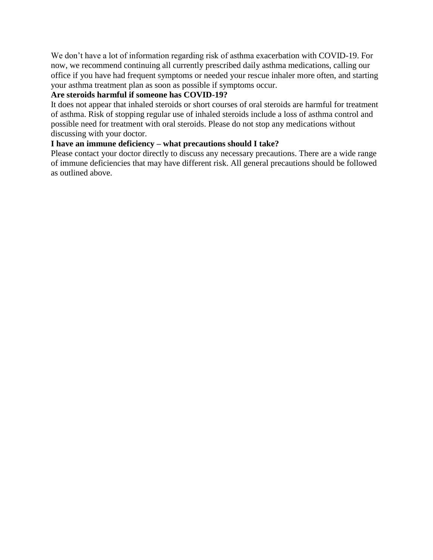We don't have a lot of information regarding risk of asthma exacerbation with COVID-19. For now, we recommend continuing all currently prescribed daily asthma medications, calling our office if you have had frequent symptoms or needed your rescue inhaler more often, and starting your asthma treatment plan as soon as possible if symptoms occur.

# **Are steroids harmful if someone has COVID-19?**

It does not appear that inhaled steroids or short courses of oral steroids are harmful for treatment of asthma. Risk of stopping regular use of inhaled steroids include a loss of asthma control and possible need for treatment with oral steroids. Please do not stop any medications without discussing with your doctor.

# **I have an immune deficiency – what precautions should I take?**

Please contact your doctor directly to discuss any necessary precautions. There are a wide range of immune deficiencies that may have different risk. All general precautions should be followed as outlined above.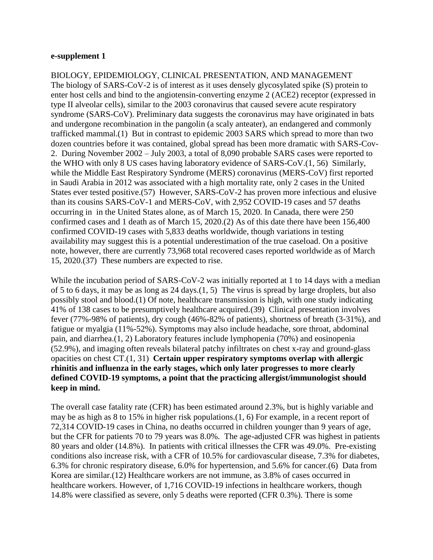#### <span id="page-32-0"></span>**e-supplement 1**

BIOLOGY, EPIDEMIOLOGY, CLINICAL PRESENTATION, AND MANAGEMENT The biology of SARS-CoV-2 is of interest as it uses densely glycosylated spike (S) protein to enter host cells and bind to the angiotensin-converting enzyme 2 (ACE2) receptor (expressed in type II alveolar cells), similar to the 2003 coronavirus that caused severe acute respiratory syndrome (SARS-CoV). Preliminary data suggests the coronavirus may have originated in bats and undergone recombination in the pangolin (a scaly anteater), an endangered and commonly trafficked mammal.(1) But in contrast to epidemic 2003 SARS which spread to more than two dozen countries before it was contained, global spread has been more dramatic with SARS-Cov-2. During November 2002 – July 2003, a total of 8,090 probable SARS cases were reported to the WHO with only 8 US cases having laboratory evidence of SARS-CoV.(1, 56) Similarly, while the Middle East Respiratory Syndrome (MERS) coronavirus (MERS-CoV) first reported in Saudi Arabia in 2012 was associated with a high mortality rate, only 2 cases in the United States ever tested positive.(57) However, SARS-CoV-2 has proven more infectious and elusive than its cousins SARS-CoV-1 and MERS-CoV, with 2,952 COVID-19 cases and 57 deaths occurring in in the United States alone, as of March 15, 2020. In Canada, there were 250 confirmed cases and 1 death as of March 15, 2020.(2) As of this date there have been 156,400 confirmed COVID-19 cases with 5,833 deaths worldwide, though variations in testing availability may suggest this is a potential underestimation of the true caseload. On a positive note, however, there are currently 73,968 total recovered cases reported worldwide as of March 15, 2020.(37) These numbers are expected to rise.

While the incubation period of SARS-CoV-2 was initially reported at 1 to 14 days with a median of 5 to 6 days, it may be as long as 24 days.(1, 5) The virus is spread by large droplets, but also possibly stool and blood.(1) Of note, healthcare transmission is high, with one study indicating 41% of 138 cases to be presumptively healthcare acquired.(39) Clinical presentation involves fever (77%-98% of patients), dry cough (46%-82% of patients), shortness of breath (3-31%), and fatigue or myalgia (11%-52%). Symptoms may also include headache, sore throat, abdominal pain, and diarrhea.(1, 2) Laboratory features include lymphopenia (70%) and eosinopenia (52.9%), and imaging often reveals bilateral patchy infiltrates on chest x-ray and ground-glass opacities on chest CT.(1, 31) **Certain upper respiratory symptoms overlap with allergic rhinitis and influenza in the early stages, which only later progresses to more clearly defined COVID-19 symptoms, a point that the practicing allergist/immunologist should keep in mind.**

The overall case fatality rate (CFR) has been estimated around 2.3%, but is highly variable and may be as high as 8 to 15% in higher risk populations.(1, 6) For example, in a recent report of 72,314 COVID-19 cases in China, no deaths occurred in children younger than 9 years of age, but the CFR for patients 70 to 79 years was 8.0%. The age-adjusted CFR was highest in patients 80 years and older (14.8%). In patients with critical illnesses the CFR was 49.0%. Pre-existing conditions also increase risk, with a CFR of 10.5% for cardiovascular disease, 7.3% for diabetes, 6.3% for chronic respiratory disease, 6.0% for hypertension, and 5.6% for cancer.(6) Data from Korea are similar.(12) Healthcare workers are not immune, as 3.8% of cases occurred in healthcare workers. However, of 1,716 COVID-19 infections in healthcare workers, though 14.8% were classified as severe, only 5 deaths were reported (CFR 0.3%). There is some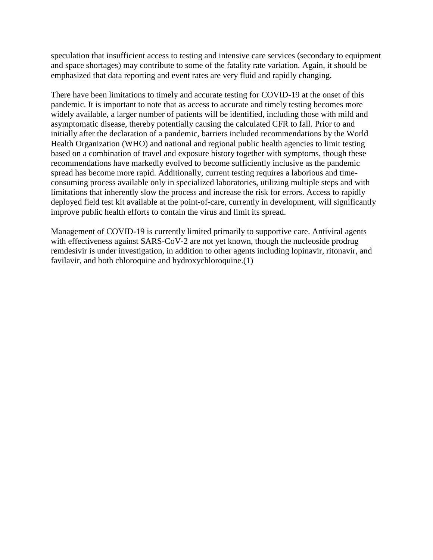speculation that insufficient access to testing and intensive care services (secondary to equipment and space shortages) may contribute to some of the fatality rate variation. Again, it should be emphasized that data reporting and event rates are very fluid and rapidly changing.

There have been limitations to timely and accurate testing for COVID-19 at the onset of this pandemic. It is important to note that as access to accurate and timely testing becomes more widely available, a larger number of patients will be identified, including those with mild and asymptomatic disease, thereby potentially causing the calculated CFR to fall. Prior to and initially after the declaration of a pandemic, barriers included recommendations by the World Health Organization (WHO) and national and regional public health agencies to limit testing based on a combination of travel and exposure history together with symptoms, though these recommendations have markedly evolved to become sufficiently inclusive as the pandemic spread has become more rapid. Additionally, current testing requires a laborious and timeconsuming process available only in specialized laboratories, utilizing multiple steps and with limitations that inherently slow the process and increase the risk for errors. Access to rapidly deployed field test kit available at the point-of-care, currently in development, will significantly improve public health efforts to contain the virus and limit its spread.

Management of COVID-19 is currently limited primarily to supportive care. Antiviral agents with effectiveness against SARS-CoV-2 are not yet known, though the nucleoside prodrug remdesivir is under investigation, in addition to other agents including lopinavir, ritonavir, and favilavir, and both chloroquine and hydroxychloroquine.(1)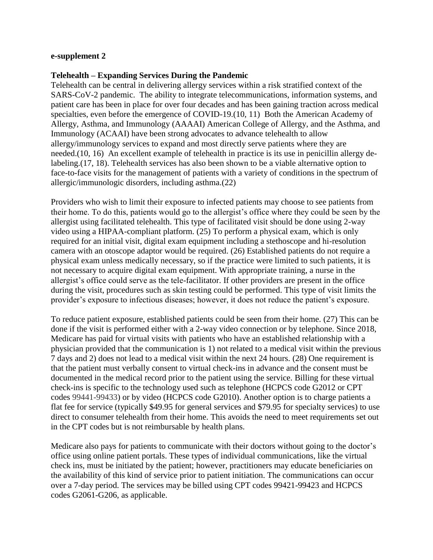#### <span id="page-34-0"></span>**e-supplement 2**

#### **Telehealth – Expanding Services During the Pandemic**

Telehealth can be central in delivering allergy services within a risk stratified context of the SARS-CoV-2 pandemic. The ability to integrate telecommunications, information systems, and patient care has been in place for over four decades and has been gaining traction across medical specialties, even before the emergence of COVID-19.(10, 11) Both the American Academy of Allergy, Asthma, and Immunology (AAAAI) American College of Allergy, and the Asthma, and Immunology (ACAAI) have been strong advocates to advance telehealth to allow allergy/immunology services to expand and most directly serve patients where they are needed.(10, 16) An excellent example of telehealth in practice is its use in penicillin allergy delabeling.(17, 18). Telehealth services has also been shown to be a viable alternative option to face-to-face visits for the management of patients with a variety of conditions in the spectrum of allergic/immunologic disorders, including asthma.(22)

Providers who wish to limit their exposure to infected patients may choose to see patients from their home. To do this, patients would go to the allergist's office where they could be seen by the allergist using facilitated telehealth. This type of facilitated visit should be done using 2-way video using a HIPAA-compliant platform. (25) To perform a physical exam, which is only required for an initial visit, digital exam equipment including a stethoscope and hi-resolution camera with an otoscope adaptor would be required. (26) Established patients do not require a physical exam unless medically necessary, so if the practice were limited to such patients, it is not necessary to acquire digital exam equipment. With appropriate training, a nurse in the allergist's office could serve as the tele-facilitator. If other providers are present in the office during the visit, procedures such as skin testing could be performed. This type of visit limits the provider's exposure to infectious diseases; however, it does not reduce the patient's exposure.

To reduce patient exposure, established patients could be seen from their home. (27) This can be done if the visit is performed either with a 2-way video connection or by telephone. Since 2018, Medicare has paid for virtual visits with patients who have an established relationship with a physician provided that the communication is 1) not related to a medical visit within the previous 7 days and 2) does not lead to a medical visit within the next 24 hours. (28) One requirement is that the patient must verbally consent to virtual check-ins in advance and the consent must be documented in the medical record prior to the patient using the service. Billing for these virtual check-ins is specific to the technology used such as telephone (HCPCS code G2012 or CPT codes 99441-99433) or by video (HCPCS code G2010). Another option is to charge patients a flat fee for service (typically \$49.95 for general services and \$79.95 for specialty services) to use direct to consumer telehealth from their home. This avoids the need to meet requirements set out in the CPT codes but is not reimbursable by health plans.

Medicare also pays for patients to communicate with their doctors without going to the doctor's office using online patient portals. These types of individual communications, like the virtual check ins, must be initiated by the patient; however, practitioners may educate beneficiaries on the availability of this kind of service prior to patient initiation. The communications can occur over a 7-day period. The services may be billed using CPT codes 99421-99423 and HCPCS codes G2061-G206, as applicable.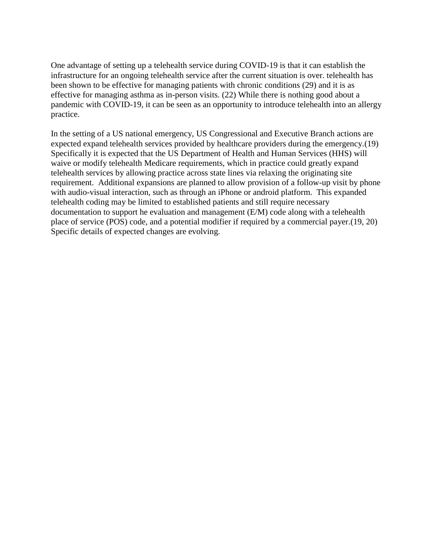One advantage of setting up a telehealth service during COVID-19 is that it can establish the infrastructure for an ongoing telehealth service after the current situation is over. telehealth has been shown to be effective for managing patients with chronic conditions (29) and it is as effective for managing asthma as in-person visits. (22) While there is nothing good about a pandemic with COVID-19, it can be seen as an opportunity to introduce telehealth into an allergy practice.

In the setting of a US national emergency, US Congressional and Executive Branch actions are expected expand telehealth services provided by healthcare providers during the emergency.(19) Specifically it is expected that the US Department of Health and Human Services (HHS) will waive or modify telehealth Medicare requirements, which in practice could greatly expand telehealth services by allowing practice across state lines via relaxing the originating site requirement. Additional expansions are planned to allow provision of a follow-up visit by phone with audio-visual interaction, such as through an iPhone or android platform. This expanded telehealth coding may be limited to established patients and still require necessary documentation to support he evaluation and management (E/M) code along with a telehealth place of service (POS) code, and a potential modifier if required by a commercial payer.(19, 20) Specific details of expected changes are evolving.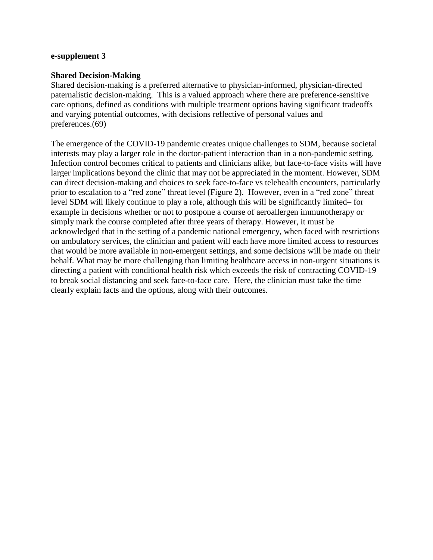#### <span id="page-36-0"></span>**e-supplement 3**

#### **Shared Decision-Making**

Shared decision-making is a preferred alternative to physician-informed, physician-directed paternalistic decision-making. This is a valued approach where there are preference-sensitive care options, defined as conditions with multiple treatment options having significant tradeoffs and varying potential outcomes, with decisions reflective of personal values and preferences.(69)

The emergence of the COVID-19 pandemic creates unique challenges to SDM, because societal interests may play a larger role in the doctor-patient interaction than in a non-pandemic setting. Infection control becomes critical to patients and clinicians alike, but face-to-face visits will have larger implications beyond the clinic that may not be appreciated in the moment. However, SDM can direct decision-making and choices to seek face-to-face vs telehealth encounters, particularly prior to escalation to a "red zone" threat level (Figure 2). However, even in a "red zone" threat level SDM will likely continue to play a role, although this will be significantly limited– for example in decisions whether or not to postpone a course of aeroallergen immunotherapy or simply mark the course completed after three years of therapy. However, it must be acknowledged that in the setting of a pandemic national emergency, when faced with restrictions on ambulatory services, the clinician and patient will each have more limited access to resources that would be more available in non-emergent settings, and some decisions will be made on their behalf. What may be more challenging than limiting healthcare access in non-urgent situations is directing a patient with conditional health risk which exceeds the risk of contracting COVID-19 to break social distancing and seek face-to-face care. Here, the clinician must take the time clearly explain facts and the options, along with their outcomes.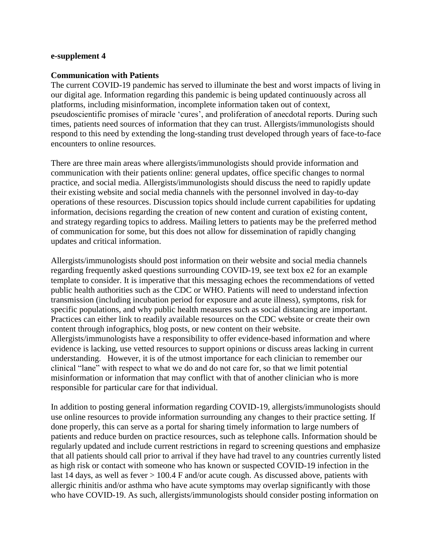#### <span id="page-37-0"></span>**e-supplement 4**

#### **Communication with Patients**

The current COVID-19 pandemic has served to illuminate the best and worst impacts of living in our digital age. Information regarding this pandemic is being updated continuously across all platforms, including misinformation, incomplete information taken out of context, pseudoscientific promises of miracle 'cures', and proliferation of anecdotal reports. During such times, patients need sources of information that they can trust. Allergists/immunologists should respond to this need by extending the long-standing trust developed through years of face-to-face encounters to online resources.

There are three main areas where allergists/immunologists should provide information and communication with their patients online: general updates, office specific changes to normal practice, and social media. Allergists/immunologists should discuss the need to rapidly update their existing website and social media channels with the personnel involved in day-to-day operations of these resources. Discussion topics should include current capabilities for updating information, decisions regarding the creation of new content and curation of existing content, and strategy regarding topics to address. Mailing letters to patients may be the preferred method of communication for some, but this does not allow for dissemination of rapidly changing updates and critical information.

Allergists/immunologists should post information on their website and social media channels regarding frequently asked questions surrounding COVID-19, see text box e2 for an example template to consider. It is imperative that this messaging echoes the recommendations of vetted public health authorities such as the CDC or WHO. Patients will need to understand infection transmission (including incubation period for exposure and acute illness), symptoms, risk for specific populations, and why public health measures such as social distancing are important. Practices can either link to readily available resources on the CDC website or create their own content through infographics, blog posts, or new content on their website. Allergists/immunologists have a responsibility to offer evidence-based information and where evidence is lacking, use vetted resources to support opinions or discuss areas lacking in current understanding. However, it is of the utmost importance for each clinician to remember our clinical "lane" with respect to what we do and do not care for, so that we limit potential misinformation or information that may conflict with that of another clinician who is more responsible for particular care for that individual.

In addition to posting general information regarding COVID-19, allergists/immunologists should use online resources to provide information surrounding any changes to their practice setting. If done properly, this can serve as a portal for sharing timely information to large numbers of patients and reduce burden on practice resources, such as telephone calls. Information should be regularly updated and include current restrictions in regard to screening questions and emphasize that all patients should call prior to arrival if they have had travel to any countries currently listed as high risk or contact with someone who has known or suspected COVID-19 infection in the last 14 days, as well as fever > 100.4 F and/or acute cough. As discussed above, patients with allergic rhinitis and/or asthma who have acute symptoms may overlap significantly with those who have COVID-19. As such, allergists/immunologists should consider posting information on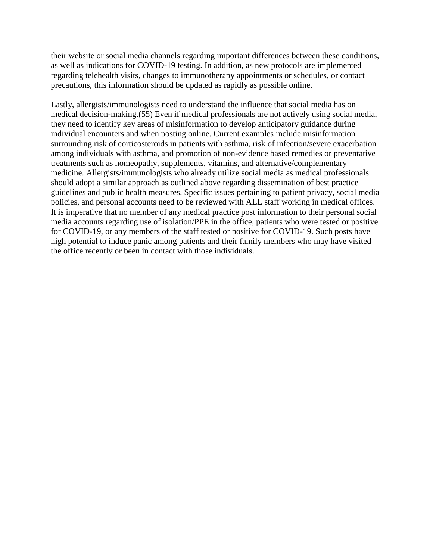their website or social media channels regarding important differences between these conditions, as well as indications for COVID-19 testing. In addition, as new protocols are implemented regarding telehealth visits, changes to immunotherapy appointments or schedules, or contact precautions, this information should be updated as rapidly as possible online.

Lastly, allergists/immunologists need to understand the influence that social media has on medical decision-making.(55) Even if medical professionals are not actively using social media, they need to identify key areas of misinformation to develop anticipatory guidance during individual encounters and when posting online. Current examples include misinformation surrounding risk of corticosteroids in patients with asthma, risk of infection/severe exacerbation among individuals with asthma, and promotion of non-evidence based remedies or preventative treatments such as homeopathy, supplements, vitamins, and alternative/complementary medicine. Allergists/immunologists who already utilize social media as medical professionals should adopt a similar approach as outlined above regarding dissemination of best practice guidelines and public health measures. Specific issues pertaining to patient privacy, social media policies, and personal accounts need to be reviewed with ALL staff working in medical offices. It is imperative that no member of any medical practice post information to their personal social media accounts regarding use of isolation/PPE in the office, patients who were tested or positive for COVID-19, or any members of the staff tested or positive for COVID-19. Such posts have high potential to induce panic among patients and their family members who may have visited the office recently or been in contact with those individuals.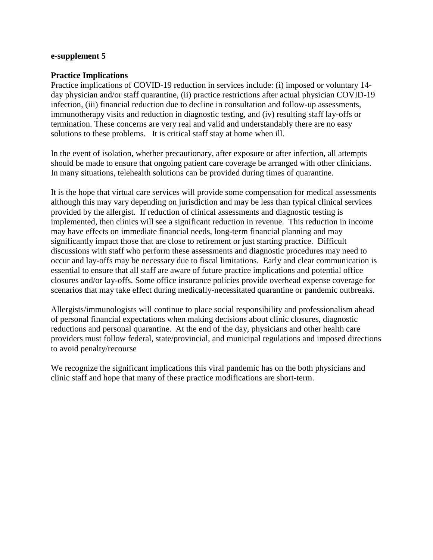#### <span id="page-39-0"></span>**e-supplement 5**

#### **Practice Implications**

Practice implications of COVID-19 reduction in services include: (i) imposed or voluntary 14 day physician and/or staff quarantine, (ii) practice restrictions after actual physician COVID-19 infection, (iii) financial reduction due to decline in consultation and follow-up assessments, immunotherapy visits and reduction in diagnostic testing, and (iv) resulting staff lay-offs or termination. These concerns are very real and valid and understandably there are no easy solutions to these problems. It is critical staff stay at home when ill.

In the event of isolation, whether precautionary, after exposure or after infection, all attempts should be made to ensure that ongoing patient care coverage be arranged with other clinicians. In many situations, telehealth solutions can be provided during times of quarantine.

It is the hope that virtual care services will provide some compensation for medical assessments although this may vary depending on jurisdiction and may be less than typical clinical services provided by the allergist. If reduction of clinical assessments and diagnostic testing is implemented, then clinics will see a significant reduction in revenue. This reduction in income may have effects on immediate financial needs, long-term financial planning and may significantly impact those that are close to retirement or just starting practice. Difficult discussions with staff who perform these assessments and diagnostic procedures may need to occur and lay-offs may be necessary due to fiscal limitations. Early and clear communication is essential to ensure that all staff are aware of future practice implications and potential office closures and/or lay-offs. Some office insurance policies provide overhead expense coverage for scenarios that may take effect during medically-necessitated quarantine or pandemic outbreaks.

Allergists/immunologists will continue to place social responsibility and professionalism ahead of personal financial expectations when making decisions about clinic closures, diagnostic reductions and personal quarantine. At the end of the day, physicians and other health care providers must follow federal, state/provincial, and municipal regulations and imposed directions to avoid penalty/recourse

We recognize the significant implications this viral pandemic has on the both physicians and clinic staff and hope that many of these practice modifications are short-term.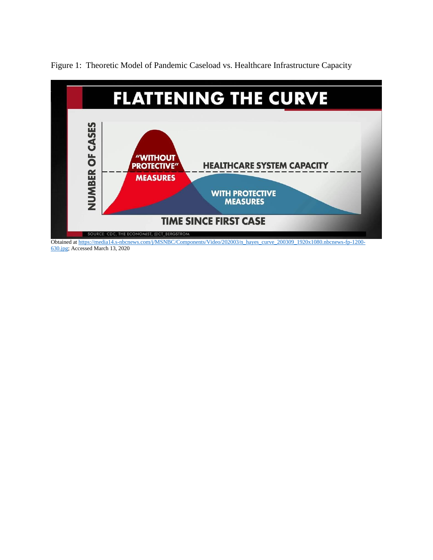

<span id="page-40-0"></span>Figure 1: Theoretic Model of Pandemic Caseload vs. Healthcare Infrastructure Capacity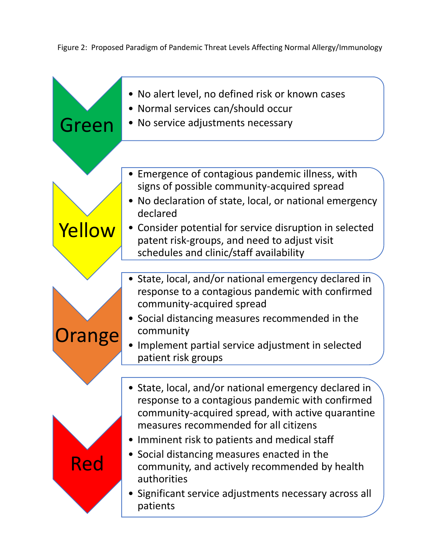<span id="page-41-0"></span>Figure 2: Proposed Paradigm of Pandemic Threat Levels Affecting Normal Allergy/Immunology